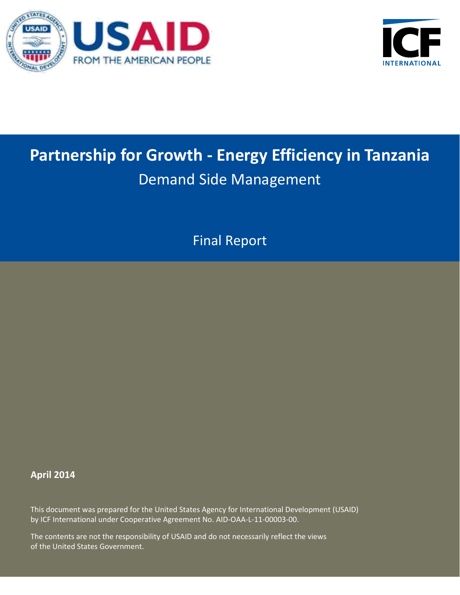



# **Partnership for Growth - Energy Efficiency in Tanzania** Demand Side Management

Final Report

# **April 2014**

This document was prepared for the United States Agency for International Development (USAID) by ICF International under Cooperative Agreement No. AID-OAA-L-11-00003-00.

The contents are not the responsibility of USAID and do not necessarily reflect the views of the United States Government.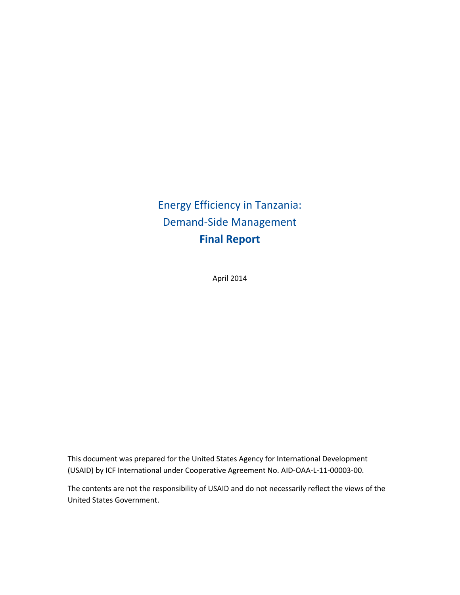April 2014

This document was prepared for the United States Agency for International Development (USAID) by ICF International under Cooperative Agreement No. AID-OAA-L-11-00003-00.

The contents are not the responsibility of USAID and do not necessarily reflect the views of the United States Government.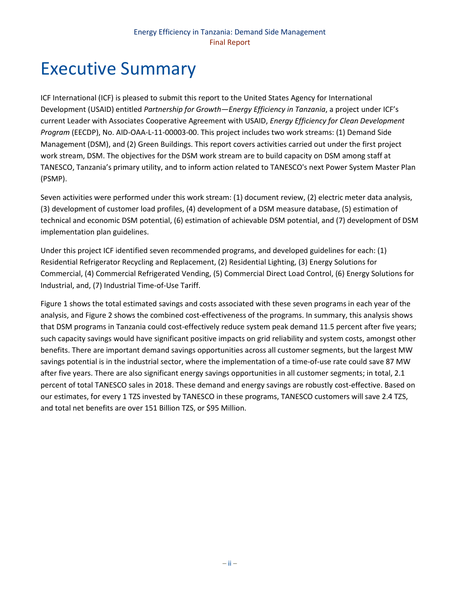# <span id="page-3-0"></span>Executive Summary

ICF International (ICF) is pleased to submit this report to the United States Agency for International Development (USAID) entitled *Partnership for Growth—Energy Efficiency in Tanzania*, a project under ICF's current Leader with Associates Cooperative Agreement with USAID, *Energy Efficiency for Clean Development Program* (EECDP), No. AID-OAA-L-11-00003-00. This project includes two work streams: (1) Demand Side Management (DSM), and (2) Green Buildings. This report covers activities carried out under the first project work stream, DSM. The objectives for the DSM work stream are to build capacity on DSM among staff at TANESCO, Tanzania's primary utility, and to inform action related to TANESCO's next Power System Master Plan (PSMP).

Seven activities were performed under this work stream: (1) document review, (2) electric meter data analysis, (3) development of customer load profiles, (4) development of a DSM measure database, (5) estimation of technical and economic DSM potential, (6) estimation of achievable DSM potential, and (7) development of DSM implementation plan guidelines.

Under this project ICF identified seven recommended programs, and developed guidelines for each: (1) Residential Refrigerator Recycling and Replacement, (2) Residential Lighting, (3) Energy Solutions for Commercial, (4) Commercial Refrigerated Vending, (5) Commercial Direct Load Control, (6) Energy Solutions for Industrial, and, (7) Industrial Time-of-Use Tariff.

[Figure 1](#page-4-0) shows the total estimated savings and costs associated with these seven programs in each year of the analysis, an[d Figure 2](#page-4-1) shows the combined cost-effectiveness of the programs. In summary, this analysis shows that DSM programs in Tanzania could cost-effectively reduce system peak demand 11.5 percent after five years; such capacity savings would have significant positive impacts on grid reliability and system costs, amongst other benefits. There are important demand savings opportunities across all customer segments, but the largest MW savings potential is in the industrial sector, where the implementation of a time-of-use rate could save 87 MW after five years. There are also significant energy savings opportunities in all customer segments; in total, 2.1 percent of total TANESCO sales in 2018. These demand and energy savings are robustly cost-effective. Based on our estimates, for every 1 TZS invested by TANESCO in these programs, TANESCO customers will save 2.4 TZS, and total net benefits are over 151 Billion TZS, or \$95 Million.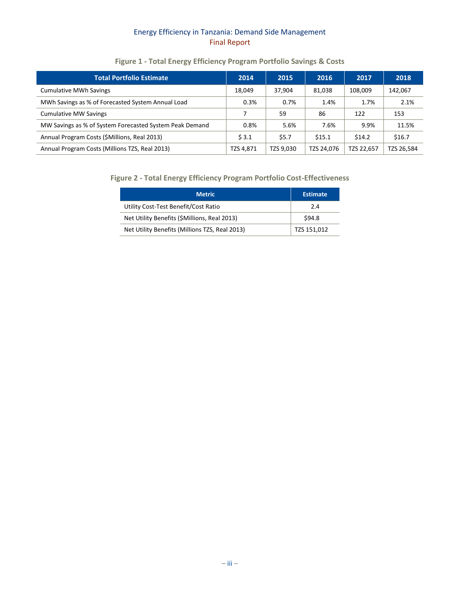# **Figure 1 - Total Energy Efficiency Program Portfolio Savings & Costs**

<span id="page-4-0"></span>

| <b>Total Portfolio Estimate</b>                         | 2014      | 2015      | 2016       | 2017       | 2018       |
|---------------------------------------------------------|-----------|-----------|------------|------------|------------|
| <b>Cumulative MWh Savings</b>                           | 18.049    | 37,904    | 81,038     | 108.009    | 142,067    |
| MWh Savings as % of Forecasted System Annual Load       | 0.3%      | 0.7%      | 1.4%       | 1.7%       | 2.1%       |
| <b>Cumulative MW Savings</b>                            |           | 59        | 86         | 122        | 153        |
| MW Savings as % of System Forecasted System Peak Demand | 0.8%      | 5.6%      | 7.6%       | 9.9%       | 11.5%      |
| Annual Program Costs (\$Millions, Real 2013)            | \$3.1     | \$5.7     | \$15.1     | \$14.2     | \$16.7     |
| Annual Program Costs (Millions TZS, Real 2013)          | TZS 4,871 | TZS 9,030 | TZS 24,076 | TZS 22,657 | TZS 26,584 |

## <span id="page-4-1"></span>**Figure 2 - Total Energy Efficiency Program Portfolio Cost-Effectiveness**

| <b>Metric</b>                                  | <b>Estimate</b> |
|------------------------------------------------|-----------------|
| Utility Cost-Test Benefit/Cost Ratio           | 2.4             |
| Net Utility Benefits (\$Millions, Real 2013)   | \$94.8          |
| Net Utility Benefits (Millions TZS, Real 2013) | TZS 151,012     |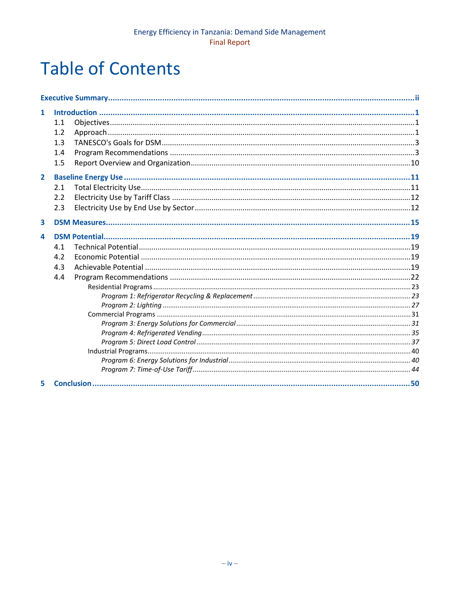# **Table of Contents**

| 1              | 1.1<br>1.2<br>1.3<br>1.4<br>1.5 |  |
|----------------|---------------------------------|--|
| $\overline{2}$ | 2.1<br>2.2<br>2.3               |  |
| 3              |                                 |  |
| 4              | 4.1<br>4.2<br>4.3<br>4.4        |  |
| 5              |                                 |  |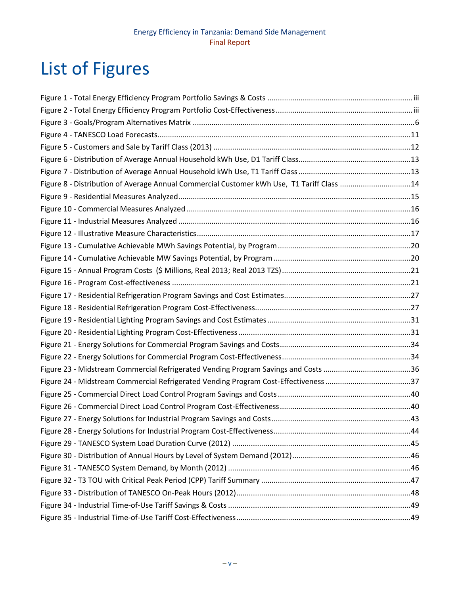# List of Figures

| Figure 8 - Distribution of Average Annual Commercial Customer kWh Use, T1 Tariff Class 14 |  |
|-------------------------------------------------------------------------------------------|--|
|                                                                                           |  |
|                                                                                           |  |
|                                                                                           |  |
|                                                                                           |  |
|                                                                                           |  |
|                                                                                           |  |
|                                                                                           |  |
|                                                                                           |  |
|                                                                                           |  |
|                                                                                           |  |
|                                                                                           |  |
|                                                                                           |  |
|                                                                                           |  |
|                                                                                           |  |
|                                                                                           |  |
|                                                                                           |  |
|                                                                                           |  |
|                                                                                           |  |
|                                                                                           |  |
|                                                                                           |  |
|                                                                                           |  |
|                                                                                           |  |
|                                                                                           |  |
|                                                                                           |  |
|                                                                                           |  |
|                                                                                           |  |
|                                                                                           |  |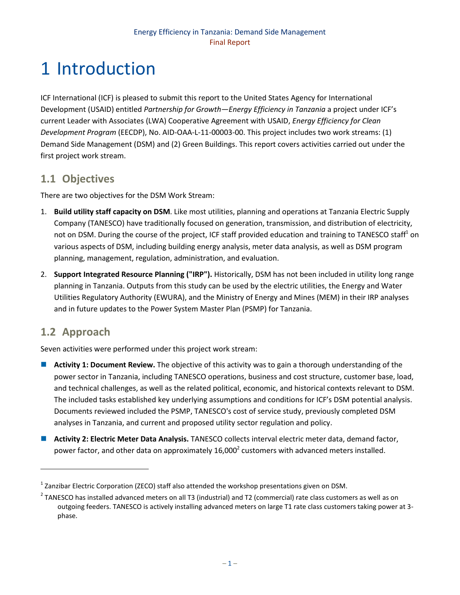# <span id="page-7-0"></span>1 Introduction

ICF International (ICF) is pleased to submit this report to the United States Agency for International Development (USAID) entitled *Partnership for Growth—Energy Efficiency in Tanzania* a project under ICF's current Leader with Associates (LWA) Cooperative Agreement with USAID, *Energy Efficiency for Clean Development Program* (EECDP), No. AID-OAA-L-11-00003-00. This project includes two work streams: (1) Demand Side Management (DSM) and (2) Green Buildings. This report covers activities carried out under the first project work stream.

# <span id="page-7-1"></span>**1.1 Objectives**

There are two objectives for the DSM Work Stream:

- 1. **Build utility staff capacity on DSM**. Like most utilities, planning and operations at Tanzania Electric Supply Company (TANESCO) have traditionally focused on generation, transmission, and distribution of electricity, not on DSM. During the course of the project, ICF staff provided education and training to TANESCO staff<sup>1</sup> on various aspects of DSM, including building energy analysis, meter data analysis, as well as DSM program planning, management, regulation, administration, and evaluation.
- 2. **Support Integrated Resource Planning ("IRP").** Historically, DSM has not been included in utility long range planning in Tanzania. Outputs from this study can be used by the electric utilities, the Energy and Water Utilities Regulatory Authority (EWURA), and the Ministry of Energy and Mines (MEM) in their IRP analyses and in future updates to the Power System Master Plan (PSMP) for Tanzania.

# <span id="page-7-2"></span>**1.2 Approach**

 $\overline{\phantom{a}}$ 

Seven activities were performed under this project work stream:

- **Activity 1: Document Review.** The objective of this activity was to gain a thorough understanding of the power sector in Tanzania, including TANESCO operations, business and cost structure, customer base, load, and technical challenges, as well as the related political, economic, and historical contexts relevant to DSM. The included tasks established key underlying assumptions and conditions for ICF's DSM potential analysis. Documents reviewed included the PSMP, TANESCO's cost of service study, previously completed DSM analyses in Tanzania, and current and proposed utility sector regulation and policy.
- **Activity 2: Electric Meter Data Analysis.** TANESCO collects interval electric meter data, demand factor, power factor, and other data on approximately 16,000<sup>2</sup> customers with advanced meters installed.

 $^{1}$  Zanzibar Electric Corporation (ZECO) staff also attended the workshop presentations given on DSM.

 $^2$  TANESCO has installed advanced meters on all T3 (industrial) and T2 (commercial) rate class customers as well as on outgoing feeders. TANESCO is actively installing advanced meters on large T1 rate class customers taking power at 3 phase.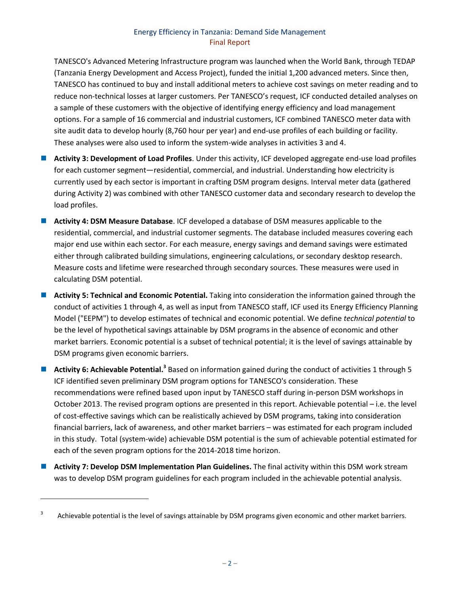TANESCO's Advanced Metering Infrastructure program was launched when the World Bank, through TEDAP (Tanzania Energy Development and Access Project), funded the initial 1,200 advanced meters. Since then, TANESCO has continued to buy and install additional meters to achieve cost savings on meter reading and to reduce non-technical losses at larger customers. Per TANESCO's request, ICF conducted detailed analyses on a sample of these customers with the objective of identifying energy efficiency and load management options. For a sample of 16 commercial and industrial customers, ICF combined TANESCO meter data with site audit data to develop hourly (8,760 hour per year) and end-use profiles of each building or facility. These analyses were also used to inform the system-wide analyses in activities 3 and 4.

- **Activity 3: Development of Load Profiles**. Under this activity, ICF developed aggregate end-use load profiles for each customer segment—residential, commercial, and industrial. Understanding how electricity is currently used by each sector is important in crafting DSM program designs. Interval meter data (gathered during Activity 2) was combined with other TANESCO customer data and secondary research to develop the load profiles.
- **Activity 4: DSM Measure Database**. ICF developed a database of DSM measures applicable to the residential, commercial, and industrial customer segments. The database included measures covering each major end use within each sector. For each measure, energy savings and demand savings were estimated either through calibrated building simulations, engineering calculations, or secondary desktop research. Measure costs and lifetime were researched through secondary sources. These measures were used in calculating DSM potential.
- **Activity 5: Technical and Economic Potential.** Taking into consideration the information gained through the conduct of activities 1 through 4, as well as input from TANESCO staff, ICF used its Energy Efficiency Planning Model ("EEPM") to develop estimates of technical and economic potential. We define *technical potential* to be the level of hypothetical savings attainable by DSM programs in the absence of economic and other market barriers. Economic potential is a subset of technical potential; it is the level of savings attainable by DSM programs given economic barriers.
- Activity 6: Achievable Potential.<sup>3</sup> Based on information gained during the conduct of activities 1 through 5 ICF identified seven preliminary DSM program options for TANESCO's consideration. These recommendations were refined based upon input by TANESCO staff during in-person DSM workshops in October 2013. The revised program options are presented in this report. Achievable potential – i.e. the level of cost-effective savings which can be realistically achieved by DSM programs, taking into consideration financial barriers, lack of awareness, and other market barriers – was estimated for each program included in this study. Total (system-wide) achievable DSM potential is the sum of achievable potential estimated for each of the seven program options for the 2014-2018 time horizon.
- **Activity 7: Develop DSM Implementation Plan Guidelines.** The final activity within this DSM work stream was to develop DSM program guidelines for each program included in the achievable potential analysis.

l

<sup>3</sup> Achievable potential is the level of savings attainable by DSM programs given economic and other market barriers.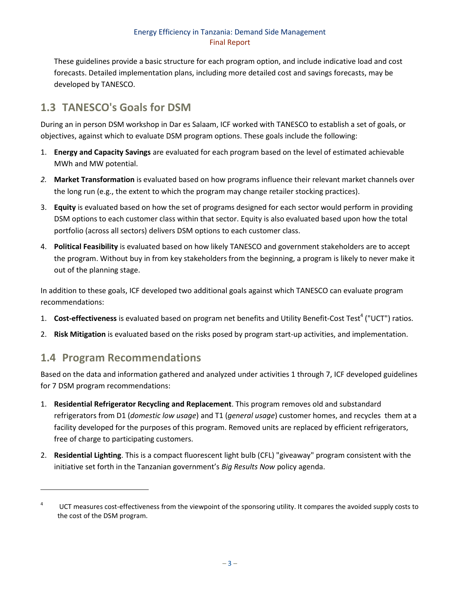These guidelines provide a basic structure for each program option, and include indicative load and cost forecasts. Detailed implementation plans, including more detailed cost and savings forecasts, may be developed by TANESCO.

# <span id="page-9-0"></span>**1.3 TANESCO's Goals for DSM**

During an in person DSM workshop in Dar es Salaam, ICF worked with TANESCO to establish a set of goals, or objectives, against which to evaluate DSM program options. These goals include the following:

- 1. **Energy and Capacity Savings** are evaluated for each program based on the level of estimated achievable MWh and MW potential.
- *2.* **Market Transformation** is evaluated based on how programs influence their relevant market channels over the long run (e.g., the extent to which the program may change retailer stocking practices).
- 3. **Equity** is evaluated based on how the set of programs designed for each sector would perform in providing DSM options to each customer class within that sector. Equity is also evaluated based upon how the total portfolio (across all sectors) delivers DSM options to each customer class.
- 4. **Political Feasibility** is evaluated based on how likely TANESCO and government stakeholders are to accept the program. Without buy in from key stakeholders from the beginning, a program is likely to never make it out of the planning stage.

In addition to these goals, ICF developed two additional goals against which TANESCO can evaluate program recommendations:

- 1. Cost-effectiveness is evaluated based on program net benefits and Utility Benefit-Cost Test<sup>4</sup> ("UCT") ratios.
- 2. **Risk Mitigation** is evaluated based on the risks posed by program start-up activities, and implementation.

# <span id="page-9-1"></span>**1.4 Program Recommendations**

 $\overline{\phantom{a}}$ 

Based on the data and information gathered and analyzed under activities 1 through 7, ICF developed guidelines for 7 DSM program recommendations:

- 1. **Residential Refrigerator Recycling and Replacement**. This program removes old and substandard refrigerators from D1 (*domestic low usage*) and T1 (*general usage*) customer homes, and recycles them at a facility developed for the purposes of this program. Removed units are replaced by efficient refrigerators, free of charge to participating customers.
- 2. **Residential Lighting**. This is a compact fluorescent light bulb (CFL) "giveaway" program consistent with the initiative set forth in the Tanzanian government's *Big Results Now* policy agenda.

<sup>4</sup> UCT measures cost-effectiveness from the viewpoint of the sponsoring utility. It compares the avoided supply costs to the cost of the DSM program.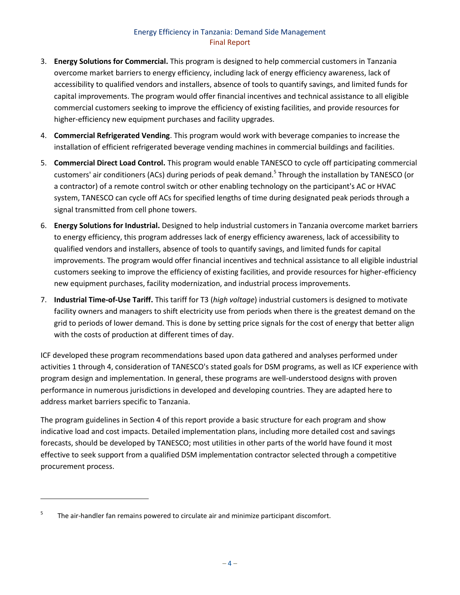- 3. **Energy Solutions for Commercial.** This program is designed to help commercial customers in Tanzania overcome market barriers to energy efficiency, including lack of energy efficiency awareness, lack of accessibility to qualified vendors and installers, absence of tools to quantify savings, and limited funds for capital improvements. The program would offer financial incentives and technical assistance to all eligible commercial customers seeking to improve the efficiency of existing facilities, and provide resources for higher-efficiency new equipment purchases and facility upgrades.
- 4. **Commercial Refrigerated Vending**. This program would work with beverage companies to increase the installation of efficient refrigerated beverage vending machines in commercial buildings and facilities.
- 5. **Commercial Direct Load Control.** This program would enable TANESCO to cycle off participating commercial customers' air conditioners (ACs) during periods of peak demand.<sup>5</sup> Through the installation by TANESCO (or a contractor) of a remote control switch or other enabling technology on the participant's AC or HVAC system, TANESCO can cycle off ACs for specified lengths of time during designated peak periods through a signal transmitted from cell phone towers.
- 6. **Energy Solutions for Industrial.** Designed to help industrial customers in Tanzania overcome market barriers to energy efficiency, this program addresses lack of energy efficiency awareness, lack of accessibility to qualified vendors and installers, absence of tools to quantify savings, and limited funds for capital improvements. The program would offer financial incentives and technical assistance to all eligible industrial customers seeking to improve the efficiency of existing facilities, and provide resources for higher-efficiency new equipment purchases, facility modernization, and industrial process improvements.
- 7. **Industrial Time-of-Use Tariff.** This tariff for T3 (*high voltage*) industrial customers is designed to motivate facility owners and managers to shift electricity use from periods when there is the greatest demand on the grid to periods of lower demand. This is done by setting price signals for the cost of energy that better align with the costs of production at different times of day.

ICF developed these program recommendations based upon data gathered and analyses performed under activities 1 through 4, consideration of TANESCO's stated goals for DSM programs, as well as ICF experience with program design and implementation. In general, these programs are well-understood designs with proven performance in numerous jurisdictions in developed and developing countries. They are adapted here to address market barriers specific to Tanzania.

The program guidelines in Section 4 of this report provide a basic structure for each program and show indicative load and cost impacts. Detailed implementation plans, including more detailed cost and savings forecasts, should be developed by TANESCO; most utilities in other parts of the world have found it most effective to seek support from a qualified DSM implementation contractor selected through a competitive procurement process.

l

<sup>5</sup> The air-handler fan remains powered to circulate air and minimize participant discomfort.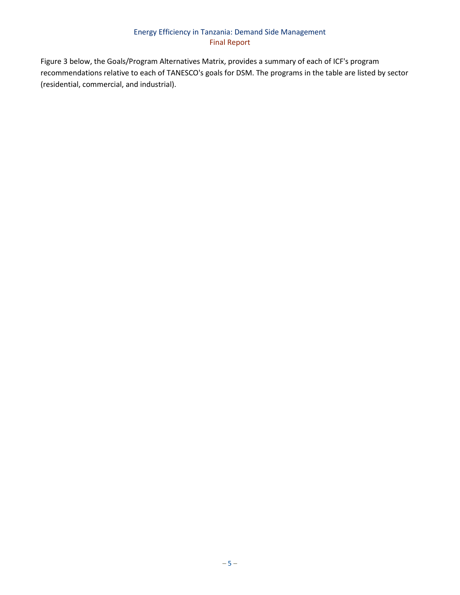[Figure 3](#page-12-0) below, the Goals/Program Alternatives Matrix, provides a summary of each of ICF's program recommendations relative to each of TANESCO's goals for DSM. The programs in the table are listed by sector (residential, commercial, and industrial).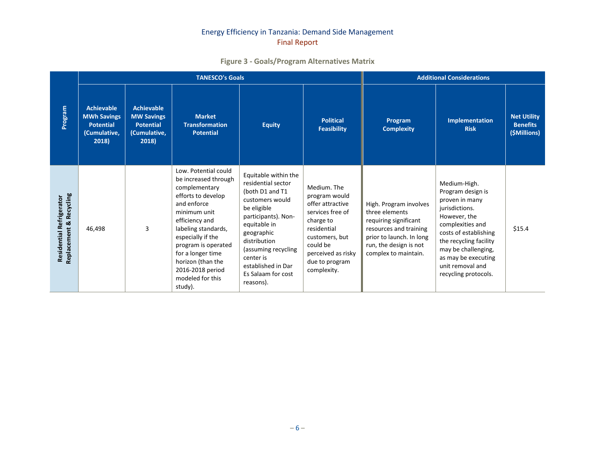# **Figure 3 - Goals/Program Alternatives Matrix**

<span id="page-12-0"></span>

|                                                     |                                                                                      |                                                                                     | <b>TANESCO's Goals</b>                                                                                                                                                                                                                                                                               | <b>Additional Considerations</b>                                                                                                                                                                                                                                  |                                                                                                                                                                                       |                                                                                                                                                                           |                                                                                                                                                                                                                                                        |                                                       |
|-----------------------------------------------------|--------------------------------------------------------------------------------------|-------------------------------------------------------------------------------------|------------------------------------------------------------------------------------------------------------------------------------------------------------------------------------------------------------------------------------------------------------------------------------------------------|-------------------------------------------------------------------------------------------------------------------------------------------------------------------------------------------------------------------------------------------------------------------|---------------------------------------------------------------------------------------------------------------------------------------------------------------------------------------|---------------------------------------------------------------------------------------------------------------------------------------------------------------------------|--------------------------------------------------------------------------------------------------------------------------------------------------------------------------------------------------------------------------------------------------------|-------------------------------------------------------|
| Program                                             | <b>Achievable</b><br><b>MWh Savings</b><br><b>Potential</b><br>(Cumulative,<br>2018) | <b>Achievable</b><br><b>MW Savings</b><br><b>Potential</b><br>(Cumulative,<br>2018) | <b>Market</b><br><b>Transformation</b><br><b>Potential</b>                                                                                                                                                                                                                                           | <b>Equity</b>                                                                                                                                                                                                                                                     | <b>Political</b><br><b>Feasibility</b>                                                                                                                                                | Program<br><b>Complexity</b>                                                                                                                                              | <b>Implementation</b><br><b>Risk</b>                                                                                                                                                                                                                   | <b>Net Utility</b><br><b>Benefits</b><br>(\$Millions) |
| Replacement & Recycling<br>Residential Refrigerator | 46,498                                                                               | 3                                                                                   | Low. Potential could<br>be increased through<br>complementary<br>efforts to develop<br>and enforce<br>minimum unit<br>efficiency and<br>labeling standards,<br>especially if the<br>program is operated<br>for a longer time<br>horizon (than the<br>2016-2018 period<br>modeled for this<br>study). | Equitable within the<br>residential sector<br>(both D1 and T1<br>customers would<br>be eligible<br>participants). Non-<br>equitable in<br>geographic<br>distribution<br>(assuming recycling<br>center is<br>established in Dar<br>Es Salaam for cost<br>reasons). | Medium. The<br>program would<br>offer attractive<br>services free of<br>charge to<br>residential<br>customers, but<br>could be<br>perceived as risky<br>due to program<br>complexity. | High. Program involves<br>three elements<br>requiring significant<br>resources and training<br>prior to launch. In long<br>run, the design is not<br>complex to maintain. | Medium-High.<br>Program design is<br>proven in many<br>jurisdictions.<br>However, the<br>complexities and<br>costs of establishing<br>the recycling facility<br>may be challenging,<br>as may be executing<br>unit removal and<br>recycling protocols. | \$15.4                                                |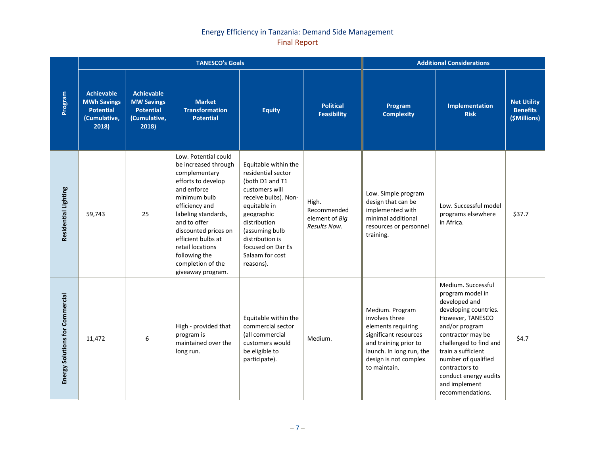|                                        |                                                                                      |                                                                                     | <b>TANESCO's Goals</b>                                                                                                                                                                                                                                                                                   | <b>Additional Considerations</b>                                                                                                                                                                                                                |                                                        |                                                                                                                                                                                |                                                                                                                                                                                                                                                                                                    |                                                       |
|----------------------------------------|--------------------------------------------------------------------------------------|-------------------------------------------------------------------------------------|----------------------------------------------------------------------------------------------------------------------------------------------------------------------------------------------------------------------------------------------------------------------------------------------------------|-------------------------------------------------------------------------------------------------------------------------------------------------------------------------------------------------------------------------------------------------|--------------------------------------------------------|--------------------------------------------------------------------------------------------------------------------------------------------------------------------------------|----------------------------------------------------------------------------------------------------------------------------------------------------------------------------------------------------------------------------------------------------------------------------------------------------|-------------------------------------------------------|
| Program                                | <b>Achievable</b><br><b>MWh Savings</b><br><b>Potential</b><br>(Cumulative,<br>2018) | <b>Achievable</b><br><b>MW Savings</b><br><b>Potential</b><br>(Cumulative,<br>2018) | <b>Market</b><br><b>Transformation</b><br><b>Potential</b>                                                                                                                                                                                                                                               | <b>Equity</b>                                                                                                                                                                                                                                   | <b>Political</b><br><b>Feasibility</b>                 | Program<br><b>Complexity</b>                                                                                                                                                   | Implementation<br><b>Risk</b>                                                                                                                                                                                                                                                                      | <b>Net Utility</b><br><b>Benefits</b><br>(\$Millions) |
| Residential Lighting                   | 59,743                                                                               | 25                                                                                  | Low. Potential could<br>be increased through<br>complementary<br>efforts to develop<br>and enforce<br>minimum bulb<br>efficiency and<br>labeling standards,<br>and to offer<br>discounted prices on<br>efficient bulbs at<br>retail locations<br>following the<br>completion of the<br>giveaway program. | Equitable within the<br>residential sector<br>(both D1 and T1<br>customers will<br>receive bulbs). Non-<br>equitable in<br>geographic<br>distribution<br>(assuming bulb<br>distribution is<br>focused on Dar Es<br>Salaam for cost<br>reasons). | High.<br>Recommended<br>element of Big<br>Results Now. | Low. Simple program<br>design that can be<br>implemented with<br>minimal additional<br>resources or personnel<br>training.                                                     | Low. Successful model<br>programs elsewhere<br>in Africa.                                                                                                                                                                                                                                          | \$37.7                                                |
| <b>Energy Solutions for Commercial</b> | 11,472                                                                               | 6                                                                                   | High - provided that<br>program is<br>maintained over the<br>long run.                                                                                                                                                                                                                                   | Equitable within the<br>commercial sector<br>(all commercial<br>customers would<br>be eligible to<br>participate).                                                                                                                              | Medium.                                                | Medium. Program<br>involves three<br>elements requiring<br>significant resources<br>and training prior to<br>launch. In long run, the<br>design is not complex<br>to maintain. | Medium. Successful<br>program model in<br>developed and<br>developing countries.<br>However, TANESCO<br>and/or program<br>contractor may be<br>challenged to find and<br>train a sufficient<br>number of qualified<br>contractors to<br>conduct energy audits<br>and implement<br>recommendations. | \$4.7                                                 |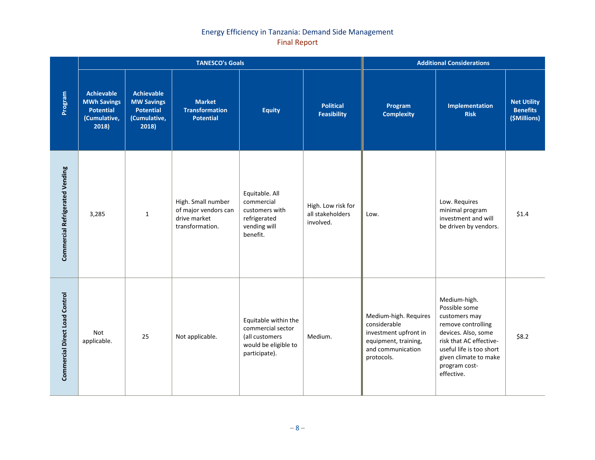|                                       |                                                                                      |                                                                                     | <b>TANESCO's Goals</b>                                                        | <b>Additional Considerations</b>                                                                     |                                                     |                                                                                                                           |                                                                                                                                                                                                            |                                                       |
|---------------------------------------|--------------------------------------------------------------------------------------|-------------------------------------------------------------------------------------|-------------------------------------------------------------------------------|------------------------------------------------------------------------------------------------------|-----------------------------------------------------|---------------------------------------------------------------------------------------------------------------------------|------------------------------------------------------------------------------------------------------------------------------------------------------------------------------------------------------------|-------------------------------------------------------|
| Program                               | <b>Achievable</b><br><b>MWh Savings</b><br><b>Potential</b><br>(Cumulative,<br>2018) | <b>Achievable</b><br><b>MW Savings</b><br><b>Potential</b><br>(Cumulative,<br>2018) | <b>Market</b><br><b>Transformation</b><br><b>Potential</b>                    | <b>Equity</b>                                                                                        | <b>Political</b><br><b>Feasibility</b>              | Program<br><b>Complexity</b>                                                                                              | Implementation<br><b>Risk</b>                                                                                                                                                                              | <b>Net Utility</b><br><b>Benefits</b><br>(\$Millions) |
| Commercial Refrigerated Vending       | 3,285                                                                                | $\mathbf{1}$                                                                        | High. Small number<br>of major vendors can<br>drive market<br>transformation. | Equitable. All<br>commercial<br>customers with<br>refrigerated<br>vending will<br>benefit.           | High. Low risk for<br>all stakeholders<br>involved. | Low.                                                                                                                      | Low. Requires<br>minimal program<br>investment and will<br>be driven by vendors.                                                                                                                           | \$1.4                                                 |
| <b>Commercial Direct Load Control</b> | Not<br>applicable.                                                                   | 25                                                                                  | Not applicable.                                                               | Equitable within the<br>commercial sector<br>(all customers<br>would be eligible to<br>participate). | Medium.                                             | Medium-high. Requires<br>considerable<br>investment upfront in<br>equipment, training,<br>and communication<br>protocols. | Medium-high.<br>Possible some<br>customers may<br>remove controlling<br>devices. Also, some<br>risk that AC effective-<br>useful life is too short<br>given climate to make<br>program cost-<br>effective. | \$8.2                                                 |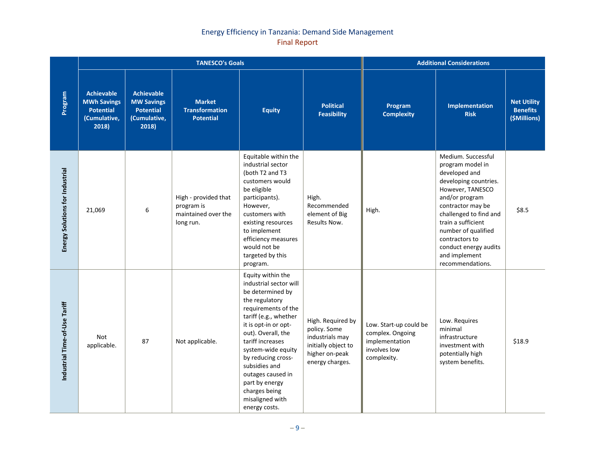|                                        |                                                                                      |                                                                                     | <b>TANESCO's Goals</b>                                                 | <b>Additional Considerations</b>                                                                                                                                                                                                                                                                                                                             |                                                                                                                  |                                                                                             |                                                                                                                                                                                                                                                                                                    |                                                       |
|----------------------------------------|--------------------------------------------------------------------------------------|-------------------------------------------------------------------------------------|------------------------------------------------------------------------|--------------------------------------------------------------------------------------------------------------------------------------------------------------------------------------------------------------------------------------------------------------------------------------------------------------------------------------------------------------|------------------------------------------------------------------------------------------------------------------|---------------------------------------------------------------------------------------------|----------------------------------------------------------------------------------------------------------------------------------------------------------------------------------------------------------------------------------------------------------------------------------------------------|-------------------------------------------------------|
| Program                                | <b>Achievable</b><br><b>MWh Savings</b><br><b>Potential</b><br>(Cumulative,<br>2018) | <b>Achievable</b><br><b>MW Savings</b><br><b>Potential</b><br>(Cumulative,<br>2018) | <b>Market</b><br><b>Transformation</b><br><b>Potential</b>             | <b>Equity</b>                                                                                                                                                                                                                                                                                                                                                | <b>Political</b><br><b>Feasibility</b>                                                                           | Program<br><b>Complexity</b>                                                                | Implementation<br><b>Risk</b>                                                                                                                                                                                                                                                                      | <b>Net Utility</b><br><b>Benefits</b><br>(\$Millions) |
| <b>Energy Solutions for Industrial</b> | 21,069                                                                               | 6                                                                                   | High - provided that<br>program is<br>maintained over the<br>long run. | Equitable within the<br>industrial sector<br>(both T2 and T3<br>customers would<br>be eligible<br>participants).<br>However,<br>customers with<br>existing resources<br>to implement<br>efficiency measures<br>would not be<br>targeted by this<br>program.                                                                                                  | High.<br>Recommended<br>element of Big<br>Results Now.                                                           | High.                                                                                       | Medium. Successful<br>program model in<br>developed and<br>developing countries.<br>However, TANESCO<br>and/or program<br>contractor may be<br>challenged to find and<br>train a sufficient<br>number of qualified<br>contractors to<br>conduct energy audits<br>and implement<br>recommendations. | \$8.5                                                 |
| Industrial Time-of-Use Tariff          | Not<br>applicable.                                                                   | 87                                                                                  | Not applicable.                                                        | Equity within the<br>industrial sector will<br>be determined by<br>the regulatory<br>requirements of the<br>tariff (e.g., whether<br>it is opt-in or opt-<br>out). Overall, the<br>tariff increases<br>system-wide equity<br>by reducing cross-<br>subsidies and<br>outages caused in<br>part by energy<br>charges being<br>misaligned with<br>energy costs. | High. Required by<br>policy. Some<br>industrials may<br>initially object to<br>higher on-peak<br>energy charges. | Low. Start-up could be<br>complex. Ongoing<br>implementation<br>involves low<br>complexity. | Low. Requires<br>minimal<br>infrastructure<br>investment with<br>potentially high<br>system benefits.                                                                                                                                                                                              | \$18.9                                                |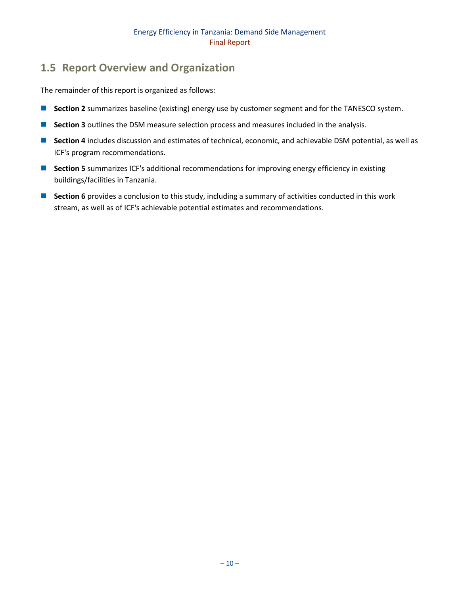# <span id="page-16-0"></span>**1.5 Report Overview and Organization**

The remainder of this report is organized as follows:

- **Section 2** summarizes baseline (existing) energy use by customer segment and for the TANESCO system.
- **Section 3** outlines the DSM measure selection process and measures included in the analysis.
- Section 4 includes discussion and estimates of technical, economic, and achievable DSM potential, as well as ICF's program recommendations.
- **Section 5** summarizes ICF's additional recommendations for improving energy efficiency in existing buildings/facilities in Tanzania.
- **Section 6** provides a conclusion to this study, including a summary of activities conducted in this work stream, as well as of ICF's achievable potential estimates and recommendations.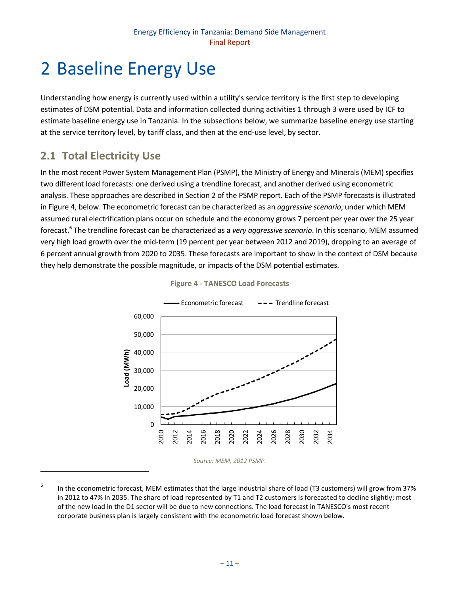# <span id="page-17-0"></span>2 Baseline Energy Use

Understanding how energy is currently used within a utility's service territory is the first step to developing estimates of DSM potential. Data and information collected during activities 1 through 3 were used by ICF to estimate baseline energy use in Tanzania. In the subsections below, we summarize baseline energy use starting at the service territory level, by tariff class, and then at the end-use level, by sector.

# <span id="page-17-1"></span>**2.1 Total Electricity Use**

 $\overline{\phantom{a}}$ 

In the most recent Power System Management Plan (PSMP), the Ministry of Energy and Minerals (MEM) specifies two different load forecasts: one derived using a trendline forecast, and another derived using econometric analysis. These approaches are described in Section 2 of the PSMP report. Each of the PSMP forecasts is illustrated i[n Figure 4,](#page-17-2) below. The econometric forecast can be characterized as an *aggressive scenario*, under which MEM assumed rural electrification plans occur on schedule and the economy grows 7 percent per year over the 25 year forecast.<sup>6</sup> The trendline forecast can be characterized as a *very aggressive scenario*. In this scenario, MEM assumed very high load growth over the mid-term (19 percent per year between 2012 and 2019), dropping to an average of 6 percent annual growth from 2020 to 2035. These forecasts are important to show in the context of DSM because they help demonstrate the possible magnitude, or impacts of the DSM potential estimates.

<span id="page-17-2"></span>



*Source: MEM, 2012 PSMP.*

<sup>6</sup> In the econometric forecast, MEM estimates that the large industrial share of load (T3 customers) will grow from 37% in 2012 to 47% in 2035. The share of load represented by T1 and T2 customers is forecasted to decline slightly; most of the new load in the D1 sector will be due to new connections. The load forecast in TANESCO's most recent corporate business plan is largely consistent with the econometric load forecast shown below.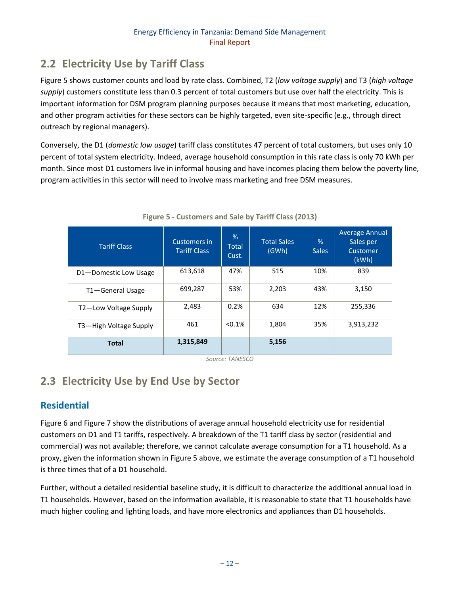# <span id="page-18-0"></span>**2.2 Electricity Use by Tariff Class**

[Figure 5](#page-18-2) shows customer counts and load by rate class. Combined, T2 (*low voltage supply*) and T3 (*high voltage supply*) customers constitute less than 0.3 percent of total customers but use over half the electricity. This is important information for DSM program planning purposes because it means that most marketing, education, and other program activities for these sectors can be highly targeted, even site-specific (e.g., through direct outreach by regional managers).

Conversely, the D1 (*domestic low usage*) tariff class constitutes 47 percent of total customers, but uses only 10 percent of total system electricity. Indeed, average household consumption in this rate class is only 70 kWh per month. Since most D1 customers live in informal housing and have incomes placing them below the poverty line, program activities in this sector will need to involve mass marketing and free DSM measures.

<span id="page-18-2"></span>

| <b>Tariff Class</b>    | Customers in<br><b>Tariff Class</b> | %<br><b>Total</b><br>Cust. | <b>Total Sales</b><br>(GWh) | %<br><b>Sales</b> | <b>Average Annual</b><br>Sales per<br>Customer<br>(kWh) |
|------------------------|-------------------------------------|----------------------------|-----------------------------|-------------------|---------------------------------------------------------|
| D1-Domestic Low Usage  | 613,618                             | 47%                        | 515                         | 10%               | 839                                                     |
| T1-General Usage       | 699,287                             | 53%                        | 2,203                       | 43%               | 3,150                                                   |
| T2-Low Voltage Supply  | 2,483                               | 0.2%                       | 634                         | 12%               | 255,336                                                 |
| T3-High Voltage Supply | 461                                 | $< 0.1\%$                  | 1,804                       | 35%               | 3,913,232                                               |
| <b>Total</b>           | 1,315,849                           |                            | 5,156                       |                   |                                                         |

#### **Figure 5 - Customers and Sale by Tariff Class (2013)**

*Source: TANESCO*

# <span id="page-18-1"></span>**2.3 Electricity Use by End Use by Sector**

# **Residential**

[Figure 6](#page-19-0) an[d Figure 7](#page-19-1) show the distributions of average annual household electricity use for residential customers on D1 and T1 tariffs, respectively. A breakdown of the T1 tariff class by sector (residential and commercial) was not available; therefore, we cannot calculate average consumption for a T1 household. As a proxy, given the information shown i[n Figure 5](#page-18-2) above, we estimate the average consumption of a T1 household is three times that of a D1 household.

Further, without a detailed residential baseline study, it is difficult to characterize the additional annual load in T1 households. However, based on the information available, it is reasonable to state that T1 households have much higher cooling and lighting loads, and have more electronics and appliances than D1 households.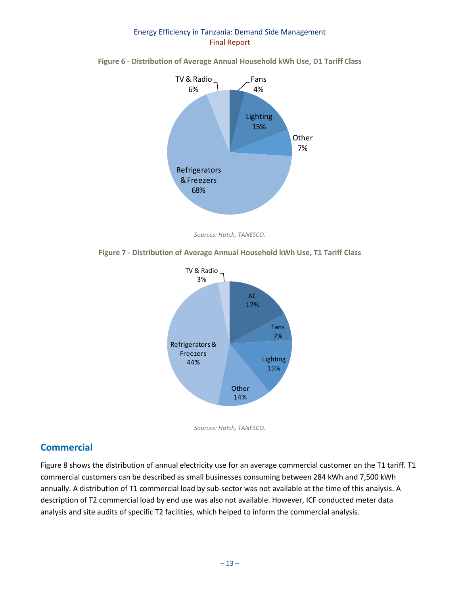

<span id="page-19-0"></span>**Figure 6 - Distribution of Average Annual Household kWh Use, D1 Tariff Class**

*Sources: Hatch, TANESCO.*

<span id="page-19-1"></span>





# **Commercial**

[Figure 8](#page-20-0) shows the distribution of annual electricity use for an average commercial customer on the T1 tariff. T1 commercial customers can be described as small businesses consuming between 284 kWh and 7,500 kWh annually. A distribution of T1 commercial load by sub-sector was not available at the time of this analysis. A description of T2 commercial load by end use was also not available. However, ICF conducted meter data analysis and site audits of specific T2 facilities, which helped to inform the commercial analysis.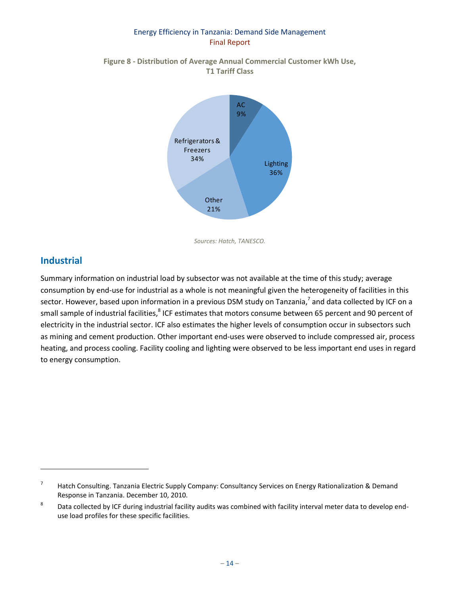<span id="page-20-0"></span>**Figure 8 - Distribution of Average Annual Commercial Customer kWh Use, T1 Tariff Class**



*Sources: Hatch, TANESCO.*

# **Industrial**

 $\overline{\phantom{a}}$ 

Summary information on industrial load by subsector was not available at the time of this study; average consumption by end-use for industrial as a whole is not meaningful given the heterogeneity of facilities in this sector. However, based upon information in a previous DSM study on Tanzania,<sup>7</sup> and data collected by ICF on a small sample of industrial facilities,<sup>8</sup> ICF estimates that motors consume between 65 percent and 90 percent of electricity in the industrial sector. ICF also estimates the higher levels of consumption occur in subsectors such as mining and cement production. Other important end-uses were observed to include compressed air, process heating, and process cooling. Facility cooling and lighting were observed to be less important end uses in regard to energy consumption.

<sup>7</sup> Hatch Consulting. Tanzania Electric Supply Company: Consultancy Services on Energy Rationalization & Demand Response in Tanzania. December 10, 2010.

<sup>8</sup> Data collected by ICF during industrial facility audits was combined with facility interval meter data to develop enduse load profiles for these specific facilities.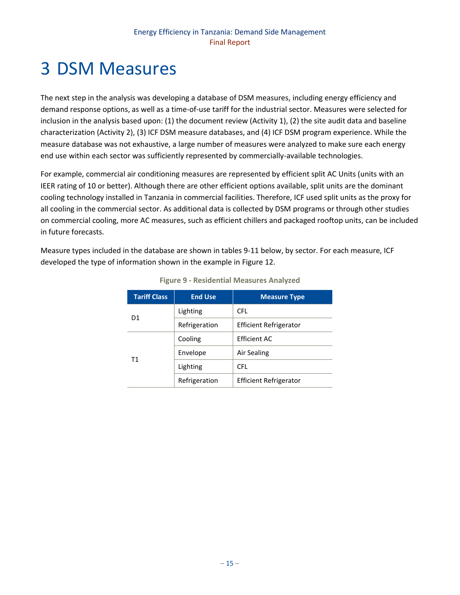# <span id="page-21-0"></span>3 DSM Measures

The next step in the analysis was developing a database of DSM measures, including energy efficiency and demand response options, as well as a time-of-use tariff for the industrial sector. Measures were selected for inclusion in the analysis based upon: (1) the document review (Activity 1), (2) the site audit data and baseline characterization (Activity 2), (3) ICF DSM measure databases, and (4) ICF DSM program experience. While the measure database was not exhaustive, a large number of measures were analyzed to make sure each energy end use within each sector was sufficiently represented by commercially-available technologies.

For example, commercial air conditioning measures are represented by efficient split AC Units (units with an IEER rating of 10 or better). Although there are other efficient options available, split units are the dominant cooling technology installed in Tanzania in commercial facilities. Therefore, ICF used split units as the proxy for all cooling in the commercial sector. As additional data is collected by DSM programs or through other studies on commercial cooling, more AC measures, such as efficient chillers and packaged rooftop units, can be included in future forecasts.

<span id="page-21-1"></span>Measure types included in the database are shown in tables 9-11 below, by sector. For each measure, ICF developed the type of information shown in the example in [Figure 12.](#page-23-0)

| <b>Tariff Class</b> | <b>End Use</b> | <b>Measure Type</b>           |
|---------------------|----------------|-------------------------------|
| D <sub>1</sub>      | Lighting       | <b>CFL</b>                    |
|                     | Refrigeration  | <b>Efficient Refrigerator</b> |
|                     | Cooling        | <b>Efficient AC</b>           |
|                     | Envelope       | Air Sealing                   |
| T1                  | Lighting       | <b>CFL</b>                    |
|                     | Refrigeration  | <b>Efficient Refrigerator</b> |

|  |  | <b>Figure 9 - Residential Measures Analyzed</b> |  |  |
|--|--|-------------------------------------------------|--|--|
|--|--|-------------------------------------------------|--|--|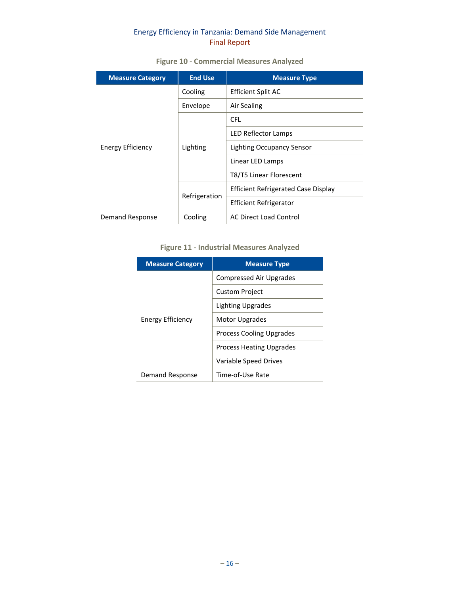<span id="page-22-0"></span>

| <b>Measure Category</b> | <b>End Use</b> | <b>Measure Type</b>                        |
|-------------------------|----------------|--------------------------------------------|
|                         | Cooling        | <b>Efficient Split AC</b>                  |
|                         | Envelope       | Air Sealing                                |
|                         |                | <b>CFL</b>                                 |
|                         | Lighting       | LED Reflector Lamps                        |
| Energy Efficiency       |                | <b>Lighting Occupancy Sensor</b>           |
|                         |                | Linear LED Lamps                           |
|                         |                | T8/T5 Linear Florescent                    |
|                         |                | <b>Efficient Refrigerated Case Display</b> |
|                         | Refrigeration  | Efficient Refrigerator                     |
| Demand Response         | Cooling        | <b>AC Direct Load Control</b>              |

## **Figure 10 - Commercial Measures Analyzed**

# **Figure 11 - Industrial Measures Analyzed**

<span id="page-22-1"></span>

| <b>Measure Category</b> | <b>Measure Type</b>             |
|-------------------------|---------------------------------|
| Energy Efficiency       | Compressed Air Upgrades         |
|                         | <b>Custom Project</b>           |
|                         | Lighting Upgrades               |
|                         | Motor Upgrades                  |
|                         | <b>Process Cooling Upgrades</b> |
|                         | <b>Process Heating Upgrades</b> |
|                         | Variable Speed Drives           |
| Demand Response         | Time-of-Use Rate                |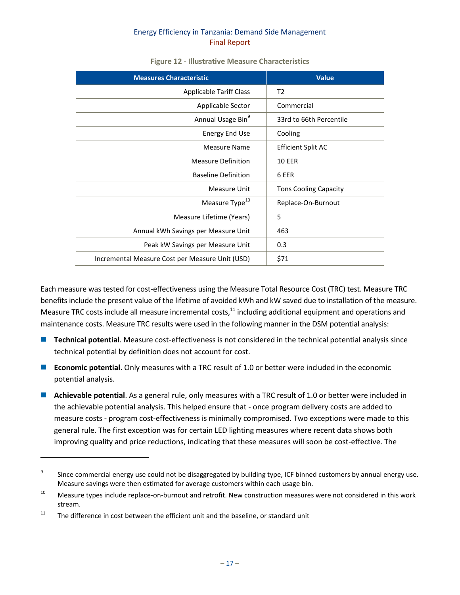<span id="page-23-0"></span>

| <b>Measures Characteristic</b>                  | <b>Value</b>                 |
|-------------------------------------------------|------------------------------|
| <b>Applicable Tariff Class</b>                  | T2                           |
| Applicable Sector                               | Commercial                   |
| Annual Usage Bin <sup>9</sup>                   | 33rd to 66th Percentile      |
| <b>Energy End Use</b>                           | Cooling                      |
| Measure Name                                    | Efficient Split AC           |
| <b>Measure Definition</b>                       | <b>10 EER</b>                |
| <b>Baseline Definition</b>                      | 6 EER                        |
| Measure Unit                                    | <b>Tons Cooling Capacity</b> |
| Measure Type <sup>10</sup>                      | Replace-On-Burnout           |
| Measure Lifetime (Years)                        | 5                            |
| Annual kWh Savings per Measure Unit             | 463                          |
| Peak kW Savings per Measure Unit                | 0.3                          |
| Incremental Measure Cost per Measure Unit (USD) | \$71                         |

#### **Figure 12 - Illustrative Measure Characteristics**

Each measure was tested for cost-effectiveness using the Measure Total Resource Cost (TRC) test. Measure TRC benefits include the present value of the lifetime of avoided kWh and kW saved due to installation of the measure. Measure TRC costs include all measure incremental costs, $^{11}$  including additional equipment and operations and maintenance costs. Measure TRC results were used in the following manner in the DSM potential analysis:

- **Technical potential**. Measure cost-effectiveness is not considered in the technical potential analysis since technical potential by definition does not account for cost.
- **E** Economic potential. Only measures with a TRC result of 1.0 or better were included in the economic potential analysis.
- **Achievable potential**. As a general rule, only measures with a TRC result of 1.0 or better were included in the achievable potential analysis. This helped ensure that - once program delivery costs are added to measure costs - program cost-effectiveness is minimally compromised. Two exceptions were made to this general rule. The first exception was for certain LED lighting measures where recent data shows both improving quality and price reductions, indicating that these measures will soon be cost-effective. The

 $\overline{a}$ 

<sup>9</sup> Since commercial energy use could not be disaggregated by building type, ICF binned customers by annual energy use. Measure savings were then estimated for average customers within each usage bin.

 $10$  Measure types include replace-on-burnout and retrofit. New construction measures were not considered in this work stream.

 $11$  The difference in cost between the efficient unit and the baseline, or standard unit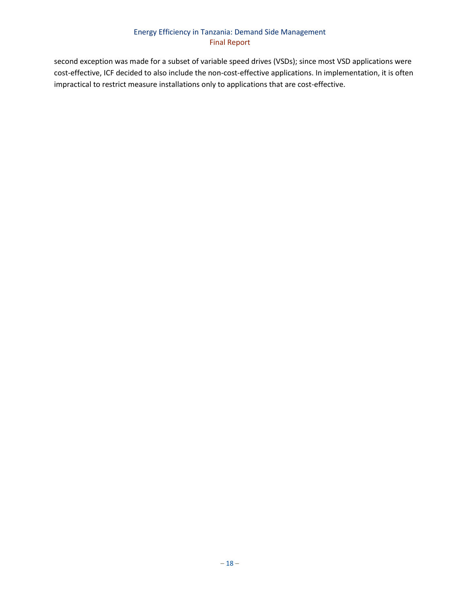second exception was made for a subset of variable speed drives (VSDs); since most VSD applications were cost-effective, ICF decided to also include the non-cost-effective applications. In implementation, it is often impractical to restrict measure installations only to applications that are cost-effective.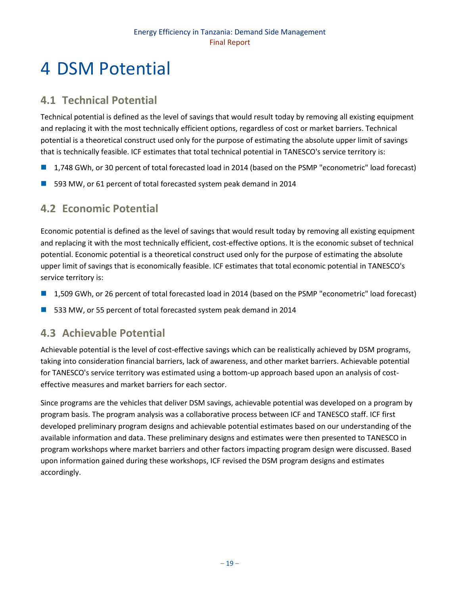# <span id="page-25-0"></span>4 DSM Potential

# <span id="page-25-1"></span>**4.1 Technical Potential**

Technical potential is defined as the level of savings that would result today by removing all existing equipment and replacing it with the most technically efficient options, regardless of cost or market barriers. Technical potential is a theoretical construct used only for the purpose of estimating the absolute upper limit of savings that is technically feasible. ICF estimates that total technical potential in TANESCO's service territory is:

- 1,748 GWh, or 30 percent of total forecasted load in 2014 (based on the PSMP "econometric" load forecast)
- 593 MW, or 61 percent of total forecasted system peak demand in 2014

# <span id="page-25-2"></span>**4.2 Economic Potential**

Economic potential is defined as the level of savings that would result today by removing all existing equipment and replacing it with the most technically efficient, cost-effective options. It is the economic subset of technical potential. Economic potential is a theoretical construct used only for the purpose of estimating the absolute upper limit of savings that is economically feasible. ICF estimates that total economic potential in TANESCO's service territory is:

- 1,509 GWh, or 26 percent of total forecasted load in 2014 (based on the PSMP "econometric" load forecast)
- 533 MW, or 55 percent of total forecasted system peak demand in 2014

# <span id="page-25-3"></span>**4.3 Achievable Potential**

Achievable potential is the level of cost-effective savings which can be realistically achieved by DSM programs, taking into consideration financial barriers, lack of awareness, and other market barriers. Achievable potential for TANESCO's service territory was estimated using a bottom-up approach based upon an analysis of costeffective measures and market barriers for each sector.

Since programs are the vehicles that deliver DSM savings, achievable potential was developed on a program by program basis. The program analysis was a collaborative process between ICF and TANESCO staff. ICF first developed preliminary program designs and achievable potential estimates based on our understanding of the available information and data. These preliminary designs and estimates were then presented to TANESCO in program workshops where market barriers and other factors impacting program design were discussed. Based upon information gained during these workshops, ICF revised the DSM program designs and estimates accordingly.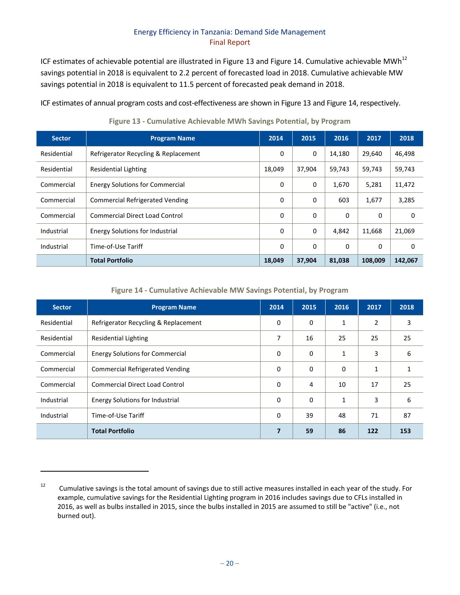ICF estimates of achievable potential are illustrated i[n Figure 13](#page-26-0) and [Figure 14.](#page-26-1) Cumulative achievable MWh<sup>12</sup> savings potential in 2018 is equivalent to 2.2 percent of forecasted load in 2018. Cumulative achievable MW savings potential in 2018 is equivalent to 11.5 percent of forecasted peak demand in 2018.

ICF estimates of annual program costs and cost-effectiveness are shown i[n Figure 13](#page-26-0) and [Figure 14,](#page-26-1) respectively.

<span id="page-26-0"></span>

| <b>Sector</b> | <b>Program Name</b>                    | 2014     | 2015     | 2016   | 2017     | 2018     |
|---------------|----------------------------------------|----------|----------|--------|----------|----------|
| Residential   | Refrigerator Recycling & Replacement   | 0        | 0        | 14,180 | 29,640   | 46,498   |
| Residential   | <b>Residential Lighting</b>            | 18,049   | 37,904   | 59,743 | 59,743   | 59,743   |
| Commercial    | <b>Energy Solutions for Commercial</b> | 0        | 0        | 1,670  | 5,281    | 11,472   |
| Commercial    | <b>Commercial Refrigerated Vending</b> | $\Omega$ | $\Omega$ | 603    | 1,677    | 3,285    |
| Commercial    | <b>Commercial Direct Load Control</b>  | $\Omega$ | $\Omega$ | 0      | 0        | 0        |
| Industrial    | <b>Energy Solutions for Industrial</b> | $\Omega$ | $\Omega$ | 4,842  | 11,668   | 21,069   |
| Industrial    | Time-of-Use Tariff                     | $\Omega$ | $\Omega$ | 0      | $\Omega$ | $\Omega$ |
|               | <b>Total Portfolio</b>                 | 18,049   | 37,904   | 81,038 | 108.009  | 142,067  |

**Figure 13 - Cumulative Achievable MWh Savings Potential, by Program** 

**Figure 14 - Cumulative Achievable MW Savings Potential, by Program** 

<span id="page-26-1"></span>

| <b>Sector</b> | <b>Program Name</b>                    | 2014           | 2015     | 2016         | 2017           | 2018 |
|---------------|----------------------------------------|----------------|----------|--------------|----------------|------|
| Residential   | Refrigerator Recycling & Replacement   | $\Omega$       | 0        | 1            | $\overline{2}$ | 3    |
| Residential   | Residential Lighting                   | 7              | 16       | 25           | 25             | 25   |
| Commercial    | <b>Energy Solutions for Commercial</b> | $\Omega$       | 0        | $\mathbf{1}$ | 3              | 6    |
| Commercial    | <b>Commercial Refrigerated Vending</b> | $\Omega$       | 0        | 0            | 1              | 1    |
| Commercial    | <b>Commercial Direct Load Control</b>  | $\Omega$       | 4        | 10           | 17             | 25   |
| Industrial    | <b>Energy Solutions for Industrial</b> | $\Omega$       | $\Omega$ | 1            | 3              | 6    |
| Industrial    | Time-of-Use Tariff                     | $\Omega$       | 39       | 48           | 71             | 87   |
|               | <b>Total Portfolio</b>                 | $\overline{7}$ | 59       | 86           | 122            | 153  |

 $\overline{\phantom{a}}$ 

<sup>&</sup>lt;sup>12</sup> Cumulative savings is the total amount of savings due to still active measures installed in each year of the study. For example, cumulative savings for the Residential Lighting program in 2016 includes savings due to CFLs installed in 2016, as well as bulbs installed in 2015, since the bulbs installed in 2015 are assumed to still be "active" (i.e., not burned out).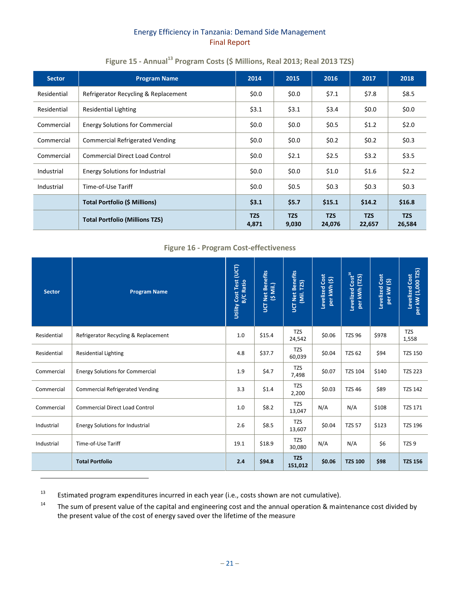<span id="page-27-0"></span>

| <b>Sector</b> | <b>Program Name</b>                    | 2014                | 2015                | 2016                 | 2017                 | 2018                 |
|---------------|----------------------------------------|---------------------|---------------------|----------------------|----------------------|----------------------|
| Residential   | Refrigerator Recycling & Replacement   | \$0.0\$             | \$0.0\$             | \$7.1                | \$7.8                | \$8.5                |
| Residential   | Residential Lighting                   | \$3.1               | \$3.1               | \$3.4                | \$0.0\$              | \$0.0\$              |
| Commercial    | <b>Energy Solutions for Commercial</b> | \$0.0\$             | \$0.0\$             | \$0.5                | \$1.2                | \$2.0                |
| Commercial    | <b>Commercial Refrigerated Vending</b> | \$0.0\$             | \$0.0\$             | \$0.2\$              | \$0.2\$              | \$0.3\$              |
| Commercial    | <b>Commercial Direct Load Control</b>  | \$0.0\$             | \$2.1               | \$2.5                | \$3.2                | \$3.5                |
| Industrial    | Energy Solutions for Industrial        | \$0.0\$             | \$0.0\$             | \$1.0                | \$1.6                | \$2.2                |
| Industrial    | Time-of-Use Tariff                     | \$0.0\$             | \$0.5               | \$0.3\$              | \$0.3                | \$0.3\$              |
|               | <b>Total Portfolio (\$ Millions)</b>   | \$3.1               | \$5.7               | \$15.1               | \$14.2               | \$16.8               |
|               | <b>Total Portfolio (Millions TZS)</b>  | <b>TZS</b><br>4,871 | <b>TZS</b><br>9,030 | <b>TZS</b><br>24,076 | <b>TZS</b><br>22,657 | <b>TZS</b><br>26,584 |

# **Figure 15 - Annual<sup>13</sup> Program Costs (\$ Millions, Real 2013; Real 2013 TZS)**

## **Figure 16 - Program Cost-effectiveness**

<span id="page-27-1"></span>

| <b>Sector</b> | <b>Program Name</b>                    | Utility Cost Test (UCT)<br><b>B/C Ratio</b> | UCT Net Benefits<br>(\$ Mil.) | <b>UCT Net Benefits</b><br>[Mil. TZS) | Levelized Cost<br>per kWh (\$) | Levelized Cost <sup>14</sup><br>(TZS)<br>per kWh | Levelized Cost<br>per kW (\$) | per kW (1,000 TZS)<br>Levelized Cost |
|---------------|----------------------------------------|---------------------------------------------|-------------------------------|---------------------------------------|--------------------------------|--------------------------------------------------|-------------------------------|--------------------------------------|
| Residential   | Refrigerator Recycling & Replacement   | 1.0                                         | \$15.4                        | <b>TZS</b><br>24,542                  | \$0.06                         | <b>TZS 96</b>                                    | \$978                         | <b>TZS</b><br>1,558                  |
| Residential   | <b>Residential Lighting</b>            | 4.8                                         | \$37.7                        | <b>TZS</b><br>60,039                  | \$0.04                         | <b>TZS 62</b>                                    | \$94                          | <b>TZS 150</b>                       |
| Commercial    | <b>Energy Solutions for Commercial</b> | 1.9                                         | \$4.7                         | <b>TZS</b><br>7,498                   | \$0.07                         | <b>TZS 104</b>                                   | \$140                         | <b>TZS 223</b>                       |
| Commercial    | <b>Commercial Refrigerated Vending</b> | 3.3                                         | \$1.4                         | <b>TZS</b><br>2,200                   | \$0.03                         | <b>TZS 46</b>                                    | \$89                          | <b>TZS 142</b>                       |
| Commercial    | <b>Commercial Direct Load Control</b>  | 1.0                                         | \$8.2                         | <b>TZS</b><br>13,047                  | N/A                            | N/A                                              | \$108                         | <b>TZS 171</b>                       |
| Industrial    | <b>Energy Solutions for Industrial</b> | 2.6                                         | \$8.5                         | <b>TZS</b><br>13,607                  | \$0.04                         | <b>TZS 57</b>                                    | \$123                         | <b>TZS 196</b>                       |
| Industrial    | Time-of-Use Tariff                     | 19.1                                        | \$18.9                        | <b>TZS</b><br>30,080                  | N/A                            | N/A                                              | \$6                           | TZS <sub>9</sub>                     |
|               | <b>Total Portfolio</b>                 | 2.4                                         | \$94.8                        | <b>TZS</b><br>151,012                 | \$0.06                         | <b>TZS 100</b>                                   | \$98                          | <b>TZS 156</b>                       |

<sup>&</sup>lt;sup>13</sup> Estimated program expenditures incurred in each year (i.e., costs shown are not cumulative).

 $\overline{\phantom{a}}$ 

<sup>&</sup>lt;sup>14</sup> The sum of present value of the capital and engineering cost and the annual operation & maintenance cost divided by the present value of the cost of energy saved over the lifetime of the measure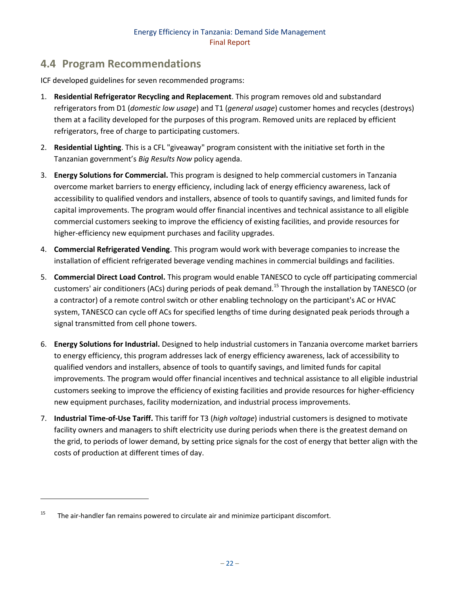# <span id="page-28-0"></span>**4.4 Program Recommendations**

ICF developed guidelines for seven recommended programs:

- 1. **Residential Refrigerator Recycling and Replacement**. This program removes old and substandard refrigerators from D1 (*domestic low usage*) and T1 (*general usage*) customer homes and recycles (destroys) them at a facility developed for the purposes of this program. Removed units are replaced by efficient refrigerators, free of charge to participating customers.
- 2. **Residential Lighting**. This is a CFL "giveaway" program consistent with the initiative set forth in the Tanzanian government's *Big Results Now* policy agenda.
- 3. **Energy Solutions for Commercial.** This program is designed to help commercial customers in Tanzania overcome market barriers to energy efficiency, including lack of energy efficiency awareness, lack of accessibility to qualified vendors and installers, absence of tools to quantify savings, and limited funds for capital improvements. The program would offer financial incentives and technical assistance to all eligible commercial customers seeking to improve the efficiency of existing facilities, and provide resources for higher-efficiency new equipment purchases and facility upgrades.
- 4. **Commercial Refrigerated Vending**. This program would work with beverage companies to increase the installation of efficient refrigerated beverage vending machines in commercial buildings and facilities.
- 5. **Commercial Direct Load Control.** This program would enable TANESCO to cycle off participating commercial customers' air conditioners (ACs) during periods of peak demand.<sup>15</sup> Through the installation by TANESCO (or a contractor) of a remote control switch or other enabling technology on the participant's AC or HVAC system, TANESCO can cycle off ACs for specified lengths of time during designated peak periods through a signal transmitted from cell phone towers.
- 6. **Energy Solutions for Industrial.** Designed to help industrial customers in Tanzania overcome market barriers to energy efficiency, this program addresses lack of energy efficiency awareness, lack of accessibility to qualified vendors and installers, absence of tools to quantify savings, and limited funds for capital improvements. The program would offer financial incentives and technical assistance to all eligible industrial customers seeking to improve the efficiency of existing facilities and provide resources for higher-efficiency new equipment purchases, facility modernization, and industrial process improvements.
- 7. **Industrial Time-of-Use Tariff.** This tariff for T3 (*high voltage*) industrial customers is designed to motivate facility owners and managers to shift electricity use during periods when there is the greatest demand on the grid, to periods of lower demand, by setting price signals for the cost of energy that better align with the costs of production at different times of day.

l

<sup>&</sup>lt;sup>15</sup> The air-handler fan remains powered to circulate air and minimize participant discomfort.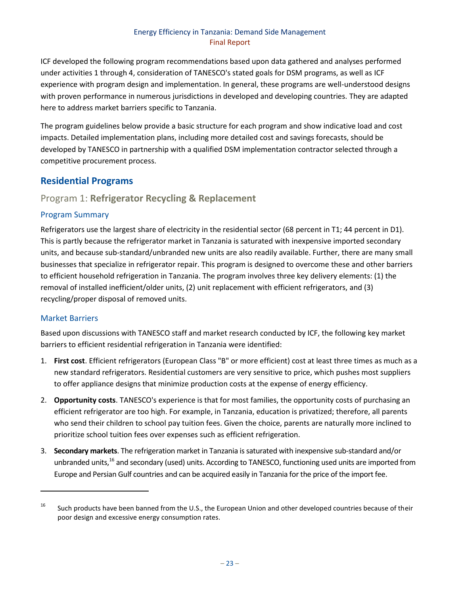ICF developed the following program recommendations based upon data gathered and analyses performed under activities 1 through 4, consideration of TANESCO's stated goals for DSM programs, as well as ICF experience with program design and implementation. In general, these programs are well-understood designs with proven performance in numerous jurisdictions in developed and developing countries. They are adapted here to address market barriers specific to Tanzania.

The program guidelines below provide a basic structure for each program and show indicative load and cost impacts. Detailed implementation plans, including more detailed cost and savings forecasts, should be developed by TANESCO in partnership with a qualified DSM implementation contractor selected through a competitive procurement process.

# <span id="page-29-0"></span>**Residential Programs**

# <span id="page-29-1"></span>Program 1: **Refrigerator Recycling & Replacement**

# Program Summary

Refrigerators use the largest share of electricity in the residential sector (68 percent in T1; 44 percent in D1). This is partly because the refrigerator market in Tanzania is saturated with inexpensive imported secondary units, and because sub-standard/unbranded new units are also readily available. Further, there are many small businesses that specialize in refrigerator repair. This program is designed to overcome these and other barriers to efficient household refrigeration in Tanzania. The program involves three key delivery elements: (1) the removal of installed inefficient/older units, (2) unit replacement with efficient refrigerators, and (3) recycling/proper disposal of removed units.

# Market Barriers

 $\overline{a}$ 

Based upon discussions with TANESCO staff and market research conducted by ICF, the following key market barriers to efficient residential refrigeration in Tanzania were identified:

- 1. **First cost**. Efficient refrigerators (European Class "B" or more efficient) cost at least three times as much as a new standard refrigerators. Residential customers are very sensitive to price, which pushes most suppliers to offer appliance designs that minimize production costs at the expense of energy efficiency.
- 2. **Opportunity costs**. TANESCO's experience is that for most families, the opportunity costs of purchasing an efficient refrigerator are too high. For example, in Tanzania, education is privatized; therefore, all parents who send their children to school pay tuition fees. Given the choice, parents are naturally more inclined to prioritize school tuition fees over expenses such as efficient refrigeration.
- 3. **Secondary markets**. The refrigeration market in Tanzania is saturated with inexpensive sub-standard and/or unbranded units,<sup>16</sup> and secondary (used) units. According to TANESCO, functioning used units are imported from Europe and Persian Gulf countries and can be acquired easily in Tanzania for the price of the import fee.

<sup>&</sup>lt;sup>16</sup> Such products have been banned from the U.S., the European Union and other developed countries because of their poor design and excessive energy consumption rates.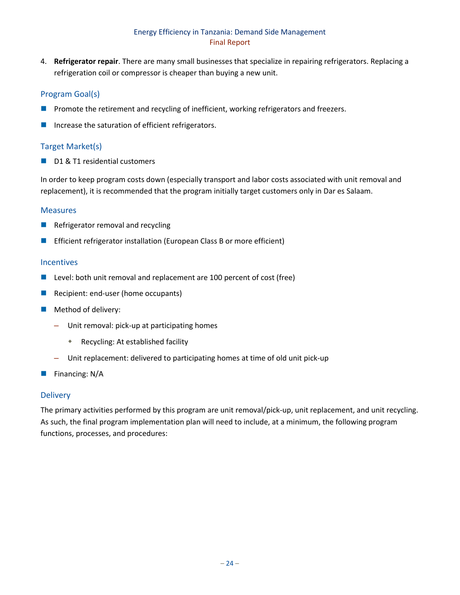4. **Refrigerator repair**. There are many small businesses that specialize in repairing refrigerators. Replacing a refrigeration coil or compressor is cheaper than buying a new unit.

## Program Goal(s)

- **Promote the retirement and recycling of inefficient, working refrigerators and freezers.**
- Increase the saturation of efficient refrigerators.

## Target Market(s)

D1 & T1 residential customers

In order to keep program costs down (especially transport and labor costs associated with unit removal and replacement), it is recommended that the program initially target customers only in Dar es Salaam.

#### Measures

- $\blacksquare$  Refrigerator removal and recycling
- Efficient refrigerator installation (European Class B or more efficient)

#### Incentives

- Level: both unit removal and replacement are 100 percent of cost (free)
- Recipient: end-user (home occupants)
- **Method of delivery:** 
	- Unit removal: pick-up at participating homes
		- Recycling: At established facility
	- Unit replacement: delivered to participating homes at time of old unit pick-up
- $\blacksquare$  Financing: N/A

#### **Delivery**

The primary activities performed by this program are unit removal/pick-up, unit replacement, and unit recycling. As such, the final program implementation plan will need to include, at a minimum, the following program functions, processes, and procedures: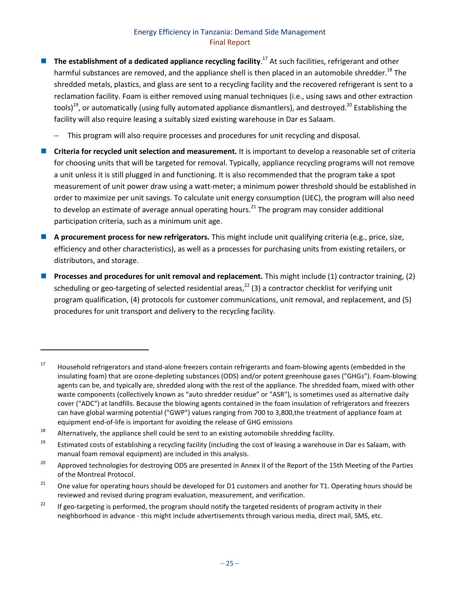- The establishment of a dedicated appliance recycling facility.<sup>17</sup> At such facilities, refrigerant and other harmful substances are removed, and the appliance shell is then placed in an automobile shredder.<sup>18</sup> The shredded metals, plastics, and glass are sent to a recycling facility and the recovered refrigerant is sent to a reclamation facility. Foam is either removed using manual techniques (i.e., using saws and other extraction tools)<sup>19</sup>, or automatically (using fully automated appliance dismantlers), and destroyed.<sup>20</sup> Establishing the facility will also require leasing a suitably sized existing warehouse in Dar es Salaam.
	- This program will also require processes and procedures for unit recycling and disposal.
- **Criteria for recycled unit selection and measurement.** It is important to develop a reasonable set of criteria for choosing units that will be targeted for removal. Typically, appliance recycling programs will not remove a unit unless it is still plugged in and functioning. It is also recommended that the program take a spot measurement of unit power draw using a watt-meter; a minimum power threshold should be established in order to maximize per unit savings. To calculate unit energy consumption (UEC), the program will also need to develop an estimate of average annual operating hours.<sup>21</sup> The program may consider additional participation criteria, such as a minimum unit age.
- **A procurement process for new refrigerators.** This might include unit qualifying criteria (e.g., price, size, efficiency and other characteristics), as well as a processes for purchasing units from existing retailers, or distributors, and storage.
- **Processes and procedures for unit removal and replacement.** This might include (1) contractor training, (2) scheduling or geo-targeting of selected residential areas,<sup>22</sup> (3) a contractor checklist for verifying unit program qualification, (4) protocols for customer communications, unit removal, and replacement, and (5) procedures for unit transport and delivery to the recycling facility.

 $\overline{\phantom{a}}$ 

 $17$  Household refrigerators and stand-alone freezers contain refrigerants and foam-blowing agents (embedded in the insulating foam) that are ozone-depleting substances (ODS) and/or potent greenhouse gases ("GHGs"). Foam-blowing agents can be, and typically are, shredded along with the rest of the appliance. The shredded foam, mixed with other waste components (collectively known as "auto shredder residue" or "ASR"), is sometimes used as alternative daily cover ("ADC") at landfills. Because the blowing agents contained in the foam insulation of refrigerators and freezers can have global warming potential ("GWP") values ranging from 700 to 3,800,the treatment of appliance foam at equipment end-of-life is important for avoiding the release of GHG emissions

<sup>&</sup>lt;sup>18</sup> Alternatively, the appliance shell could be sent to an existing automobile shredding facility.

<sup>&</sup>lt;sup>19</sup> Estimated costs of establishing a recycling facility (including the cost of leasing a warehouse in Dar es Salaam, with manual foam removal equipment) are included in this analysis.

<sup>&</sup>lt;sup>20</sup> Approved technologies for destroying ODS are presented in Annex II of the Report of the 15th Meeting of the Parties of the Montreal Protocol.

<sup>&</sup>lt;sup>21</sup> One value for operating hours should be developed for D1 customers and another for T1. Operating hours should be reviewed and revised during program evaluation, measurement, and verification.

<sup>&</sup>lt;sup>22</sup> If geo-targeting is performed, the program should notify the targeted residents of program activity in their neighborhood in advance - this might include advertisements through various media, direct mail, SMS, etc.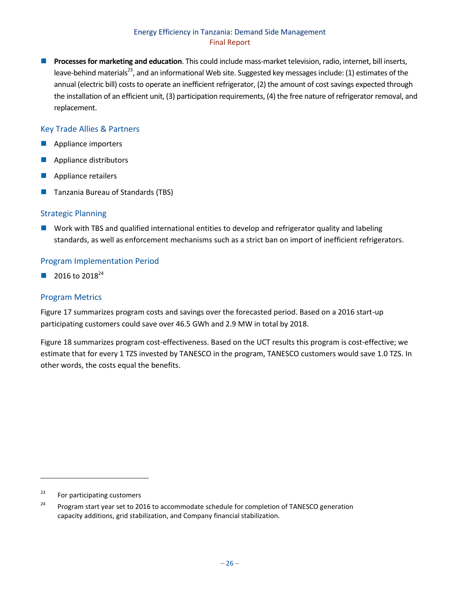**Processes for marketing and education**. This could include mass-market television, radio, internet, bill inserts, leave-behind materials<sup>23</sup>, and an informational Web site. Suggested key messages include: (1) estimates of the annual (electric bill) costs to operate an inefficient refrigerator, (2) the amount of cost savings expected through the installation of an efficient unit, (3) participation requirements, (4) the free nature of refrigerator removal, and replacement.

## Key Trade Allies & Partners

- **Appliance importers**
- **Appliance distributors**
- Appliance retailers
- Tanzania Bureau of Standards (TBS)

#### Strategic Planning

 Work with TBS and qualified international entities to develop and refrigerator quality and labeling standards, as well as enforcement mechanisms such as a strict ban on import of inefficient refrigerators.

#### Program Implementation Period

2016 to  $2018^{24}$ 

#### Program Metrics

[Figure 17](#page-33-1) summarizes program costs and savings over the forecasted period. Based on a 2016 start-up participating customers could save over 46.5 GWh and 2.9 MW in total by 2018.

[Figure 18](#page-33-2) summarizes program cost-effectiveness. Based on the UCT results this program is cost-effective; we estimate that for every 1 TZS invested by TANESCO in the program, TANESCO customers would save 1.0 TZS. In other words, the costs equal the benefits.

 $\overline{\phantom{a}}$ 

 $23$  For participating customers

<sup>&</sup>lt;sup>24</sup> Program start year set to 2016 to accommodate schedule for completion of TANESCO generation capacity additions, grid stabilization, and Company financial stabilization.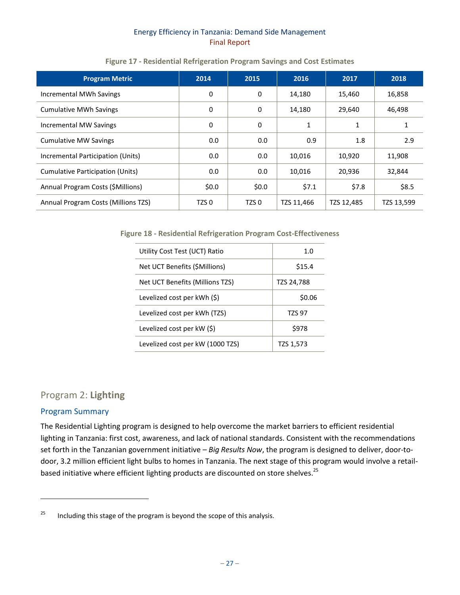<span id="page-33-1"></span>

| <b>Program Metric</b>               | 2014             | 2015             | 2016       | 2017       | 2018       |
|-------------------------------------|------------------|------------------|------------|------------|------------|
| Incremental MWh Savings             | 0                | 0                | 14,180     | 15,460     | 16,858     |
| <b>Cumulative MWh Savings</b>       | $\mathbf{0}$     | 0                | 14,180     | 29,640     | 46,498     |
| Incremental MW Savings              | 0                | 0                | 1          |            |            |
| <b>Cumulative MW Savings</b>        | 0.0              | 0.0              | 0.9        | 1.8        | 2.9        |
| Incremental Participation (Units)   | 0.0              | 0.0              | 10,016     | 10,920     | 11,908     |
| Cumulative Participation (Units)    | 0.0              | 0.0              | 10,016     | 20,936     | 32,844     |
| Annual Program Costs (\$Millions)   | \$0.0\$          | \$0.0\$          | \$7.1      | \$7.8      | \$8.5      |
| Annual Program Costs (Millions TZS) | TZS <sub>0</sub> | TZS <sub>0</sub> | TZS 11,466 | TZS 12,485 | TZS 13,599 |

### **Figure 17 - Residential Refrigeration Program Savings and Cost Estimates**

<span id="page-33-2"></span>**Figure 18 - Residential Refrigeration Program Cost-Effectiveness**

| Utility Cost Test (UCT) Ratio    | 1.0           |
|----------------------------------|---------------|
| Net UCT Benefits (\$Millions)    | \$15.4        |
| Net UCT Benefits (Millions TZS)  | TZS 24,788    |
| Levelized cost per kWh (\$)      | \$0.06        |
| Levelized cost per kWh (TZS)     | <b>TZS 97</b> |
| Levelized cost per $kW(\xi)$     | \$978         |
| Levelized cost per kW (1000 TZS) | TZS 1,573     |

# <span id="page-33-0"></span>Program 2: **Lighting**

#### Program Summary

l

The Residential Lighting program is designed to help overcome the market barriers to efficient residential lighting in Tanzania: first cost, awareness, and lack of national standards. Consistent with the recommendations set forth in the Tanzanian government initiative – *Big Results Now*, the program is designed to deliver, door-todoor, 3.2 million efficient light bulbs to homes in Tanzania. The next stage of this program would involve a retailbased initiative where efficient lighting products are discounted on store shelves.<sup>25</sup>

<sup>&</sup>lt;sup>25</sup> Including this stage of the program is beyond the scope of this analysis.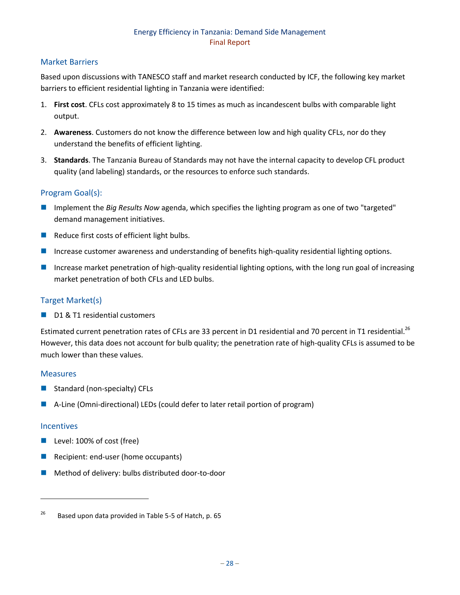## Market Barriers

Based upon discussions with TANESCO staff and market research conducted by ICF, the following key market barriers to efficient residential lighting in Tanzania were identified:

- 1. **First cost**. CFLs cost approximately 8 to 15 times as much as incandescent bulbs with comparable light output.
- 2. **Awareness**. Customers do not know the difference between low and high quality CFLs, nor do they understand the benefits of efficient lighting.
- 3. **Standards**. The Tanzania Bureau of Standards may not have the internal capacity to develop CFL product quality (and labeling) standards, or the resources to enforce such standards.

## Program Goal(s):

- Implement the *Big Results Now* agenda, which specifies the lighting program as one of two "targeted" demand management initiatives.
- $\blacksquare$  Reduce first costs of efficient light bulbs.
- Increase customer awareness and understanding of benefits high-quality residential lighting options.
- Increase market penetration of high-quality residential lighting options, with the long run goal of increasing market penetration of both CFLs and LED bulbs.

#### Target Market(s)

D1 & T1 residential customers

Estimated current penetration rates of CFLs are 33 percent in D1 residential and 70 percent in T1 residential.<sup>26</sup> However, this data does not account for bulb quality; the penetration rate of high-quality CFLs is assumed to be much lower than these values.

#### Measures

- Standard (non-specialty) CFLs
- A-Line (Omni-directional) LEDs (could defer to later retail portion of program)

#### **Incentives**

l

- **Level: 100% of cost (free)**
- Recipient: end-user (home occupants)
- **Method of delivery: bulbs distributed door-to-door**

<sup>&</sup>lt;sup>26</sup> Based upon data provided in Table 5-5 of Hatch, p. 65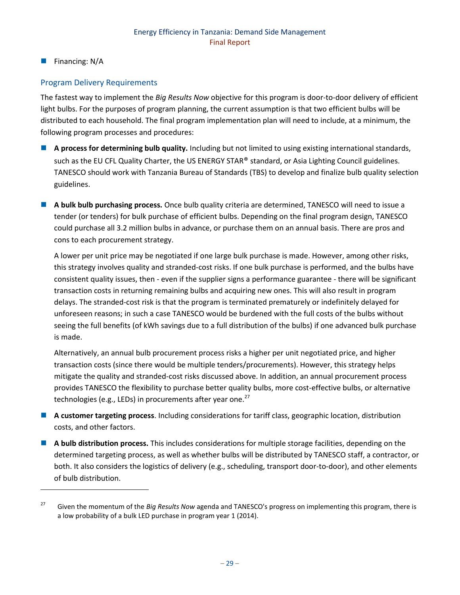**Financing: N/A** 

 $\overline{\phantom{a}}$ 

# Program Delivery Requirements

The fastest way to implement the *Big Results Now* objective for this program is door-to-door delivery of efficient light bulbs. For the purposes of program planning, the current assumption is that two efficient bulbs will be distributed to each household. The final program implementation plan will need to include, at a minimum, the following program processes and procedures:

- **A process for determining bulb quality.** Including but not limited to using existing international standards, such as the EU CFL Quality Charter, the US ENERGY STAR® standard, or Asia Lighting Council guidelines. TANESCO should work with Tanzania Bureau of Standards (TBS) to develop and finalize bulb quality selection guidelines.
- **A bulk bulb purchasing process.** Once bulb quality criteria are determined, TANESCO will need to issue a tender (or tenders) for bulk purchase of efficient bulbs. Depending on the final program design, TANESCO could purchase all 3.2 million bulbs in advance, or purchase them on an annual basis. There are pros and cons to each procurement strategy.

A lower per unit price may be negotiated if one large bulk purchase is made. However, among other risks, this strategy involves quality and stranded-cost risks. If one bulk purchase is performed, and the bulbs have consistent quality issues, then - even if the supplier signs a performance guarantee - there will be significant transaction costs in returning remaining bulbs and acquiring new ones. This will also result in program delays. The stranded-cost risk is that the program is terminated prematurely or indefinitely delayed for unforeseen reasons; in such a case TANESCO would be burdened with the full costs of the bulbs without seeing the full benefits (of kWh savings due to a full distribution of the bulbs) if one advanced bulk purchase is made.

Alternatively, an annual bulb procurement process risks a higher per unit negotiated price, and higher transaction costs (since there would be multiple tenders/procurements). However, this strategy helps mitigate the quality and stranded-cost risks discussed above. In addition, an annual procurement process provides TANESCO the flexibility to purchase better quality bulbs, more cost-effective bulbs, or alternative technologies (e.g., LEDs) in procurements after year one. $^{27}$ 

- **A customer targeting process**. Including considerations for tariff class, geographic location, distribution costs, and other factors.
- **A bulb distribution process.** This includes considerations for multiple storage facilities, depending on the determined targeting process, as well as whether bulbs will be distributed by TANESCO staff, a contractor, or both. It also considers the logistics of delivery (e.g., scheduling, transport door-to-door), and other elements of bulb distribution.

<sup>&</sup>lt;sup>27</sup> Given the momentum of the *Big Results Now* agenda and TANESCO's progress on implementing this program, there is a low probability of a bulk LED purchase in program year 1 (2014).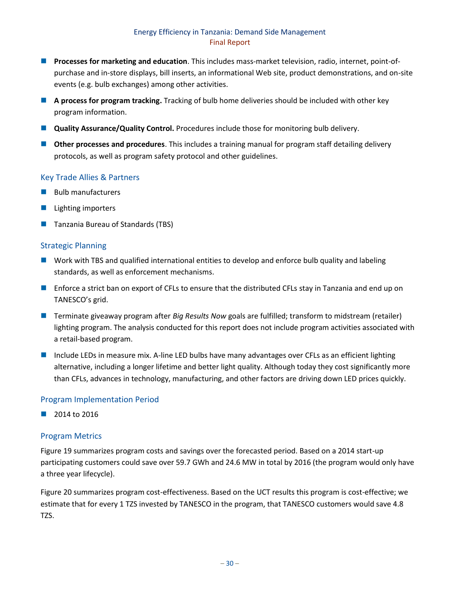- **Processes for marketing and education**. This includes mass-market television, radio, internet, point-ofpurchase and in-store displays, bill inserts, an informational Web site, product demonstrations, and on-site events (e.g. bulb exchanges) among other activities.
- **A process for program tracking.** Tracking of bulb home deliveries should be included with other key program information.
- **Quality Assurance/Quality Control.** Procedures include those for monitoring bulb delivery.
- **Other processes and procedures**. This includes a training manual for program staff detailing delivery protocols, as well as program safety protocol and other guidelines.

## Key Trade Allies & Partners

- $\blacksquare$  Bulb manufacturers
- $\blacksquare$  Lighting importers
- Tanzania Bureau of Standards (TBS)

#### Strategic Planning

- **Nork with TBS and qualified international entities to develop and enforce bulb quality and labeling** standards, as well as enforcement mechanisms.
- **Enforce a strict ban on export of CFLs to ensure that the distributed CFLs stay in Tanzania and end up on** TANESCO's grid.
- Terminate giveaway program after *Big Results Now* goals are fulfilled; transform to midstream (retailer) lighting program. The analysis conducted for this report does not include program activities associated with a retail-based program.
- Include LEDs in measure mix. A-line LED bulbs have many advantages over CFLs as an efficient lighting alternative, including a longer lifetime and better light quality. Although today they cost significantly more than CFLs, advances in technology, manufacturing, and other factors are driving down LED prices quickly.

#### Program Implementation Period

2014 to 2016

#### Program Metrics

[Figure 19](#page-37-2) summarizes program costs and savings over the forecasted period. Based on a 2014 start-up participating customers could save over 59.7 GWh and 24.6 MW in total by 2016 (the program would only have a three year lifecycle).

[Figure 20](#page-37-3) summarizes program cost-effectiveness. Based on the UCT results this program is cost-effective; we estimate that for every 1 TZS invested by TANESCO in the program, that TANESCO customers would save 4.8 TZS.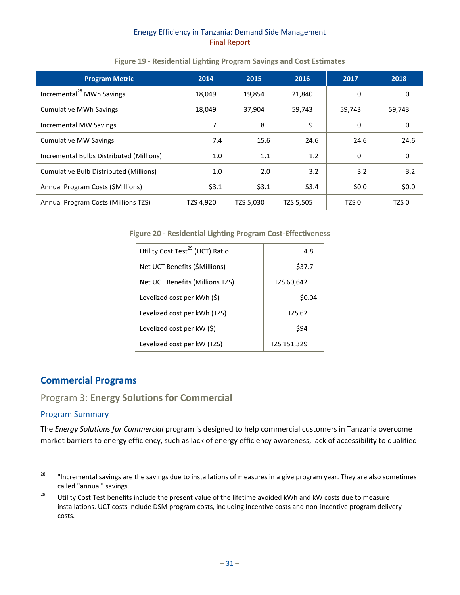|  |  | Figure 19 - Residential Lighting Program Savings and Cost Estimates |
|--|--|---------------------------------------------------------------------|
|--|--|---------------------------------------------------------------------|

<span id="page-37-2"></span>

| <b>Program Metric</b>                    | 2014      | 2015      | 2016      | 2017             | 2018             |
|------------------------------------------|-----------|-----------|-----------|------------------|------------------|
| Incremental <sup>28</sup> MWh Savings    | 18,049    | 19,854    | 21,840    | 0                | 0                |
| <b>Cumulative MWh Savings</b>            | 18,049    | 37,904    | 59,743    | 59,743           | 59,743           |
| Incremental MW Savings                   | 7         | 8         | 9         | 0                | 0                |
| <b>Cumulative MW Savings</b>             | 7.4       | 15.6      | 24.6      | 24.6             | 24.6             |
| Incremental Bulbs Distributed (Millions) | 1.0       | 1.1       | 1.2       | 0                | 0                |
| Cumulative Bulb Distributed (Millions)   | 1.0       | 2.0       | 3.2       | 3.2              | 3.2              |
| Annual Program Costs (\$Millions)        | \$3.1     | \$3.1     | \$3.4     | \$0.0            | \$0.0\$          |
| Annual Program Costs (Millions TZS)      | TZS 4,920 | TZS 5,030 | TZS 5,505 | TZS <sub>0</sub> | TZS <sub>0</sub> |

<span id="page-37-3"></span>**Figure 20 - Residential Lighting Program Cost-Effectiveness**

| Utility Cost Test <sup>29</sup> (UCT) Ratio | 4.8         |
|---------------------------------------------|-------------|
| Net UCT Benefits (\$Millions)               | \$37.7      |
| Net UCT Benefits (Millions TZS)             | TZS 60,642  |
| Levelized cost per kWh (\$)                 | \$0.04      |
| Levelized cost per kWh (TZS)                | TZS 62      |
| Levelized cost per $kW(\xi)$                | \$94        |
| Levelized cost per kW (TZS)                 | TZS 151,329 |

# <span id="page-37-0"></span>**Commercial Programs**

# <span id="page-37-1"></span>Program 3: **Energy Solutions for Commercial**

#### Program Summary

 $\overline{a}$ 

The *Energy Solutions for Commercial* program is designed to help commercial customers in Tanzania overcome market barriers to energy efficiency, such as lack of energy efficiency awareness, lack of accessibility to qualified

<sup>&</sup>lt;sup>28</sup> "Incremental savings are the savings due to installations of measures in a give program year. They are also sometimes called "annual" savings.

<sup>&</sup>lt;sup>29</sup> Utility Cost Test benefits include the present value of the lifetime avoided kWh and kW costs due to measure installations. UCT costs include DSM program costs, including incentive costs and non-incentive program delivery costs.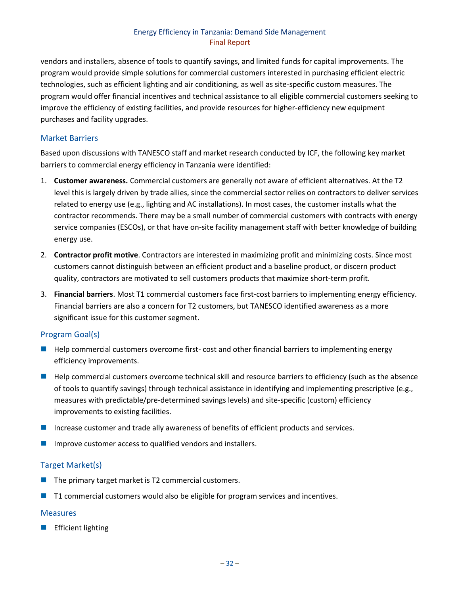vendors and installers, absence of tools to quantify savings, and limited funds for capital improvements. The program would provide simple solutions for commercial customers interested in purchasing efficient electric technologies, such as efficient lighting and air conditioning, as well as site-specific custom measures. The program would offer financial incentives and technical assistance to all eligible commercial customers seeking to improve the efficiency of existing facilities, and provide resources for higher-efficiency new equipment purchases and facility upgrades.

### Market Barriers

Based upon discussions with TANESCO staff and market research conducted by ICF, the following key market barriers to commercial energy efficiency in Tanzania were identified:

- 1. **Customer awareness.** Commercial customers are generally not aware of efficient alternatives. At the T2 level this is largely driven by trade allies, since the commercial sector relies on contractors to deliver services related to energy use (e.g., lighting and AC installations). In most cases, the customer installs what the contractor recommends. There may be a small number of commercial customers with contracts with energy service companies (ESCOs), or that have on-site facility management staff with better knowledge of building energy use.
- 2. **Contractor profit motive**. Contractors are interested in maximizing profit and minimizing costs. Since most customers cannot distinguish between an efficient product and a baseline product, or discern product quality, contractors are motivated to sell customers products that maximize short-term profit.
- 3. **Financial barriers**. Most T1 commercial customers face first-cost barriers to implementing energy efficiency. Financial barriers are also a concern for T2 customers, but TANESCO identified awareness as a more significant issue for this customer segment.

# Program Goal(s)

- **Help commercial customers overcome first-cost and other financial barriers to implementing energy** efficiency improvements.
- **Help commercial customers overcome technical skill and resource barriers to efficiency (such as the absence** of tools to quantify savings) through technical assistance in identifying and implementing prescriptive (e.g., measures with predictable/pre-determined savings levels) and site-specific (custom) efficiency improvements to existing facilities.
- Increase customer and trade ally awareness of benefits of efficient products and services.
- Improve customer access to qualified vendors and installers.

# Target Market(s)

- The primary target market is T2 commercial customers.
- T1 commercial customers would also be eligible for program services and incentives.

#### **Measures**

Efficient lighting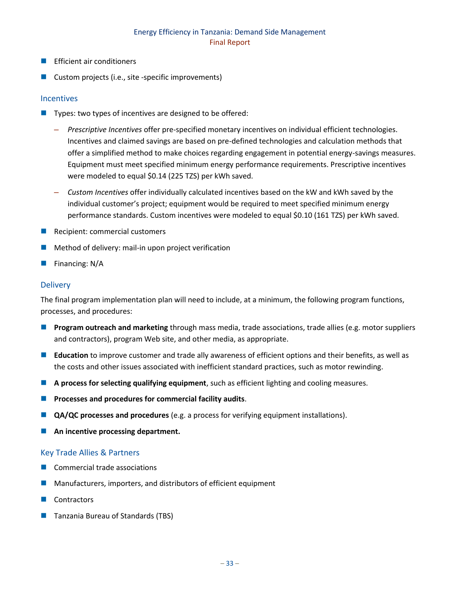- Efficient air conditioners
- Custom projects (i.e., site -specific improvements)

#### **Incentives**

- Types: two types of incentives are designed to be offered:
	- *Prescriptive Incentives* offer pre-specified monetary incentives on individual efficient technologies. Incentives and claimed savings are based on pre-defined technologies and calculation methods that offer a simplified method to make choices regarding engagement in potential energy-savings measures. Equipment must meet specified minimum energy performance requirements. Prescriptive incentives were modeled to equal \$0.14 (225 TZS) per kWh saved.
	- *Custom Incentives* offer individually calculated incentives based on the kW and kWh saved by the individual customer's project; equipment would be required to meet specified minimum energy performance standards. Custom incentives were modeled to equal \$0.10 (161 TZS) per kWh saved.
- Recipient: commercial customers
- Method of delivery: mail-in upon project verification
- Financing: N/A

#### **Delivery**

The final program implementation plan will need to include, at a minimum, the following program functions, processes, and procedures:

- **Program outreach and marketing** through mass media, trade associations, trade allies (e.g. motor suppliers and contractors), program Web site, and other media, as appropriate.
- **Education** to improve customer and trade ally awareness of efficient options and their benefits, as well as the costs and other issues associated with inefficient standard practices, such as motor rewinding.
- **A process for selecting qualifying equipment**, such as efficient lighting and cooling measures.
- **Processes and procedures for commercial facility audits.**
- **QA/QC processes and procedures** (e.g. a process for verifying equipment installations).
- **An incentive processing department.**

#### Key Trade Allies & Partners

- Commercial trade associations
- Manufacturers, importers, and distributors of efficient equipment
- **Contractors**
- **Tanzania Bureau of Standards (TBS)**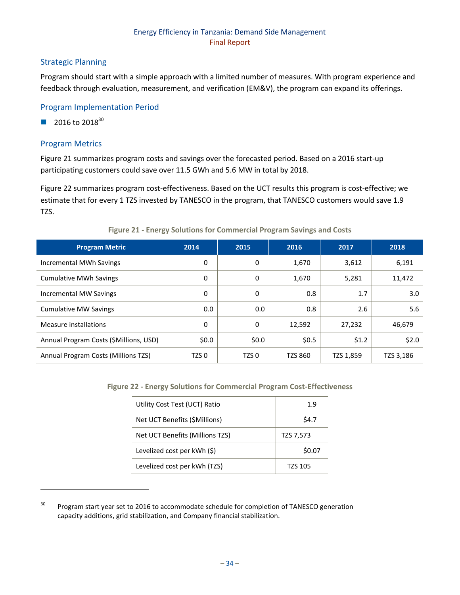## Strategic Planning

Program should start with a simple approach with a limited number of measures. With program experience and feedback through evaluation, measurement, and verification (EM&V), the program can expand its offerings.

#### Program Implementation Period

2016 to  $2018^{30}$ 

#### Program Metrics

 $\overline{\phantom{a}}$ 

[Figure 21](#page-40-0) summarizes program costs and savings over the forecasted period. Based on a 2016 start-up participating customers could save over 11.5 GWh and 5.6 MW in total by 2018.

[Figure 22](#page-40-1) summarizes program cost-effectiveness. Based on the UCT results this program is cost-effective; we estimate that for every 1 TZS invested by TANESCO in the program, that TANESCO customers would save 1.9 TZS.

<span id="page-40-0"></span>

| <b>Program Metric</b>                  | 2014    | 2015  | 2016    | 2017      | 2018      |
|----------------------------------------|---------|-------|---------|-----------|-----------|
| Incremental MWh Savings                | 0       | 0     | 1,670   | 3,612     | 6,191     |
| <b>Cumulative MWh Savings</b>          | 0       | 0     | 1,670   | 5,281     | 11,472    |
| Incremental MW Savings                 | 0       | 0     | 0.8     | 1.7       | 3.0       |
| <b>Cumulative MW Savings</b>           | 0.0     | 0.0   | 0.8     | 2.6       | 5.6       |
| Measure installations                  | 0       | 0     | 12,592  | 27,232    | 46,679    |
| Annual Program Costs (\$Millions, USD) | \$0.0\$ | \$0.0 | \$0.5   | \$1.2     | \$2.0     |
| Annual Program Costs (Millions TZS)    | TZS 0   | TZS 0 | TZS 860 | TZS 1,859 | TZS 3,186 |

#### **Figure 21 - Energy Solutions for Commercial Program Savings and Costs**

<span id="page-40-1"></span>**Figure 22 - Energy Solutions for Commercial Program Cost-Effectiveness**

| Utility Cost Test (UCT) Ratio   | 1.9            |
|---------------------------------|----------------|
| Net UCT Benefits (\$Millions)   | S4.7           |
| Net UCT Benefits (Millions TZS) | TZS 7,573      |
| Levelized cost per kWh (\$)     | \$0.07         |
| Levelized cost per kWh (TZS)    | <b>TZS 105</b> |

<sup>&</sup>lt;sup>30</sup> Program start year set to 2016 to accommodate schedule for completion of TANESCO generation capacity additions, grid stabilization, and Company financial stabilization.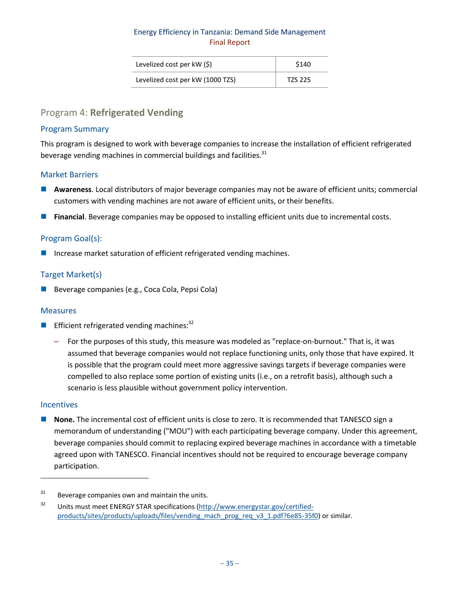| Levelized cost per kW (\$)       | \$140   |
|----------------------------------|---------|
| Levelized cost per kW (1000 TZS) | TZS 225 |

# <span id="page-41-0"></span>Program 4: **Refrigerated Vending**

#### Program Summary

This program is designed to work with beverage companies to increase the installation of efficient refrigerated beverage vending machines in commercial buildings and facilities.<sup>31</sup>

#### Market Barriers

- **Awareness**. Local distributors of major beverage companies may not be aware of efficient units; commercial customers with vending machines are not aware of efficient units, or their benefits.
- **Financial**. Beverage companies may be opposed to installing efficient units due to incremental costs.

#### Program Goal(s):

■ Increase market saturation of efficient refrigerated vending machines.

#### Target Market(s)

Beverage companies (e.g., Coca Cola, Pepsi Cola)

#### **Measures**

- Efficient refrigerated vending machines:  $32$ 
	- For the purposes of this study, this measure was modeled as "replace-on-burnout." That is, it was assumed that beverage companies would not replace functioning units, only those that have expired. It is possible that the program could meet more aggressive savings targets if beverage companies were compelled to also replace some portion of existing units (i.e., on a retrofit basis), although such a scenario is less plausible without government policy intervention.

#### **Incentives**

 $\overline{\phantom{a}}$ 

 **None.** The incremental cost of efficient units is close to zero. It is recommended that TANESCO sign a memorandum of understanding ("MOU") with each participating beverage company. Under this agreement, beverage companies should commit to replacing expired beverage machines in accordance with a timetable agreed upon with TANESCO. Financial incentives should not be required to encourage beverage company participation.

 $31$  Beverage companies own and maintain the units.

<sup>32</sup> Units must meet ENERGY STAR specifications [\(http://www.energystar.gov/certified](http://www.energystar.gov/certified-products/sites/products/uploads/files/vending_mach_prog_req_v3_1.pdf?6e85-35f0)[products/sites/products/uploads/files/vending\\_mach\\_prog\\_req\\_v3\\_1.pdf?6e85-35f0\)](http://www.energystar.gov/certified-products/sites/products/uploads/files/vending_mach_prog_req_v3_1.pdf?6e85-35f0) or similar.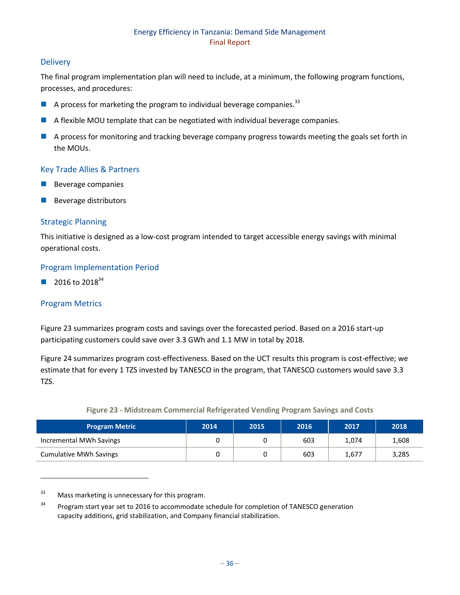## **Delivery**

The final program implementation plan will need to include, at a minimum, the following program functions, processes, and procedures:

- $\blacksquare$  A process for marketing the program to individual beverage companies.<sup>33</sup>
- A flexible MOU template that can be negotiated with individual beverage companies.
- A process for monitoring and tracking beverage company progress towards meeting the goals set forth in the MOUs.

# Key Trade Allies & Partners

- Beverage companies
- Beverage distributors

#### Strategic Planning

This initiative is designed as a low-cost program intended to target accessible energy savings with minimal operational costs.

#### Program Implementation Period

2016 to  $2018^{34}$ 

# Program Metrics

 $\overline{\phantom{a}}$ 

[Figure 23](#page-42-1) summarizes program costs and savings over the forecasted period. Based on a 2016 start-up participating customers could save over 3.3 GWh and 1.1 MW in total by 2018.

Figure 24 summarizes program cost-effectiveness. Based on the UCT results this program is cost-effective; we estimate that for every 1 TZS invested by TANESCO in the program, that TANESCO customers would save 3.3 TZS.

<span id="page-42-1"></span><span id="page-42-0"></span>

| <b>Program Metric</b>         | 2014 | 2015 | 2016 | 2017  | 2018  |
|-------------------------------|------|------|------|-------|-------|
| Incremental MWh Savings       |      |      | 603  | 1,074 | 1,608 |
| <b>Cumulative MWh Savings</b> |      |      | 603  | 1,677 | 3,285 |

#### **Figure 23 - Midstream Commercial Refrigerated Vending Program Savings and Costs**

 $33$  Mass marketing is unnecessary for this program.

<sup>&</sup>lt;sup>34</sup> Program start year set to 2016 to accommodate schedule for completion of TANESCO generation capacity additions, grid stabilization, and Company financial stabilization.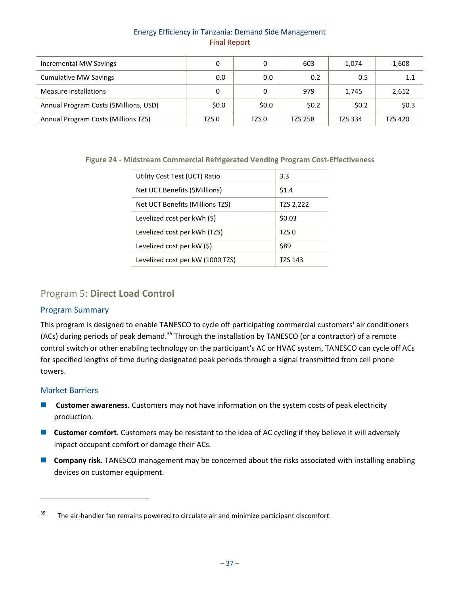| Incremental MW Savings                 |         | 0     | 603            | 1.074          | 1,608   |
|----------------------------------------|---------|-------|----------------|----------------|---------|
| <b>Cumulative MW Savings</b>           | 0.0     | 0.0   | 0.2            | 0.5            | 1.1     |
| Measure installations                  |         | 0     | 979            | 1,745          | 2,612   |
| Annual Program Costs (\$Millions, USD) | \$0.0\$ | \$0.0 | \$0.2          | \$0.2          | \$0.3   |
| Annual Program Costs (Millions TZS)    | TZS 0   | TZS 0 | <b>TZS 258</b> | <b>TZS 334</b> | TZS 420 |

<span id="page-43-1"></span>**Figure 24 - Midstream Commercial Refrigerated Vending Program Cost-Effectiveness**

| Utility Cost Test (UCT) Ratio    | 3.3       |
|----------------------------------|-----------|
| Net UCT Benefits (\$Millions)    | \$1.4     |
| Net UCT Benefits (Millions TZS)  | TZS 2,222 |
| Levelized cost per kWh (\$)      | \$0.03    |
| Levelized cost per kWh (TZS)     | TZS 0     |
| Levelized cost per kW (\$)       | \$89      |
| Levelized cost per kW (1000 TZS) | TZS 143   |
|                                  |           |

# <span id="page-43-0"></span>Program 5: **Direct Load Control**

#### Program Summary

This program is designed to enable TANESCO to cycle off participating commercial customers' air conditioners (ACs) during periods of peak demand.<sup>35</sup> Through the installation by TANESCO (or a contractor) of a remote control switch or other enabling technology on the participant's AC or HVAC system, TANESCO can cycle off ACs for specified lengths of time during designated peak periods through a signal transmitted from cell phone towers.

#### Market Barriers

l

- **E** Customer awareness. Customers may not have information on the system costs of peak electricity production.
- **Customer comfort**. Customers may be resistant to the idea of AC cycling if they believe it will adversely impact occupant comfort or damage their ACs.
- **Company risk.** TANESCO management may be concerned about the risks associated with installing enabling devices on customer equipment.

 $35$  The air-handler fan remains powered to circulate air and minimize participant discomfort.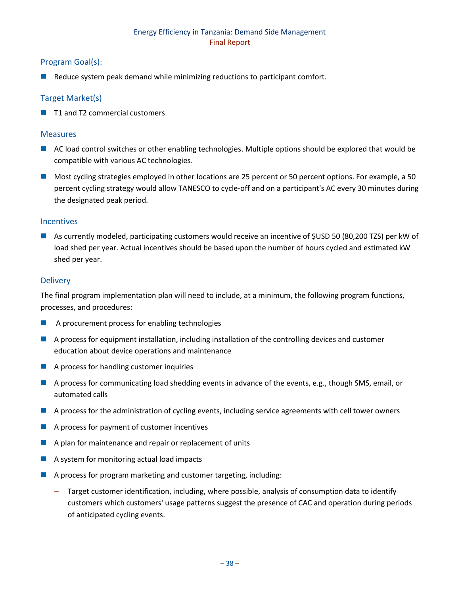## Program Goal(s):

Reduce system peak demand while minimizing reductions to participant comfort.

### Target Market(s)

■ T1 and T2 commercial customers

#### Measures

- AC load control switches or other enabling technologies. Multiple options should be explored that would be compatible with various AC technologies.
- Most cycling strategies employed in other locations are 25 percent or 50 percent options. For example, a 50 percent cycling strategy would allow TANESCO to cycle-off and on a participant's AC every 30 minutes during the designated peak period.

#### **Incentives**

 As currently modeled, participating customers would receive an incentive of \$USD 50 (80,200 TZS) per kW of load shed per year. Actual incentives should be based upon the number of hours cycled and estimated kW shed per year.

#### **Delivery**

The final program implementation plan will need to include, at a minimum, the following program functions, processes, and procedures:

- A procurement process for enabling technologies
- A process for equipment installation, including installation of the controlling devices and customer education about device operations and maintenance
- **A process for handling customer inquiries**
- A process for communicating load shedding events in advance of the events, e.g., though SMS, email, or automated calls
- A process for the administration of cycling events, including service agreements with cell tower owners
- A process for payment of customer incentives
- $\blacksquare$  A plan for maintenance and repair or replacement of units
- A system for monitoring actual load impacts
- $\blacksquare$  A process for program marketing and customer targeting, including:
	- Target customer identification, including, where possible, analysis of consumption data to identify customers which customers' usage patterns suggest the presence of CAC and operation during periods of anticipated cycling events.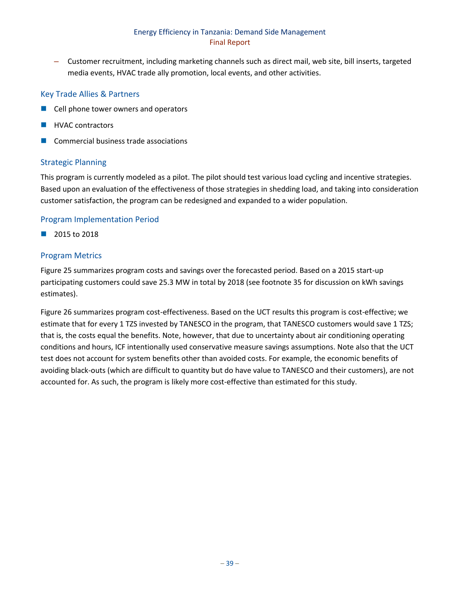– Customer recruitment, including marketing channels such as direct mail, web site, bill inserts, targeted media events, HVAC trade ally promotion, local events, and other activities.

### Key Trade Allies & Partners

- Cell phone tower owners and operators
- HVAC contractors
- Commercial business trade associations

#### Strategic Planning

This program is currently modeled as a pilot. The pilot should test various load cycling and incentive strategies. Based upon an evaluation of the effectiveness of those strategies in shedding load, and taking into consideration customer satisfaction, the program can be redesigned and expanded to a wider population.

#### Program Implementation Period

 $\Box$  2015 to 2018

## Program Metrics

[Figure 25](#page-46-2) summarizes program costs and savings over the forecasted period. Based on a 2015 start-up participating customers could save 25.3 MW in total by 2018 (see footnote 35 for discussion on kWh savings estimates).

[Figure 26](#page-46-3) summarizes program cost-effectiveness. Based on the UCT results this program is cost-effective; we estimate that for every 1 TZS invested by TANESCO in the program, that TANESCO customers would save 1 TZS; that is, the costs equal the benefits. Note, however, that due to uncertainty about air conditioning operating conditions and hours, ICF intentionally used conservative measure savings assumptions. Note also that the UCT test does not account for system benefits other than avoided costs. For example, the economic benefits of avoiding black-outs (which are difficult to quantity but do have value to TANESCO and their customers), are not accounted for. As such, the program is likely more cost-effective than estimated for this study.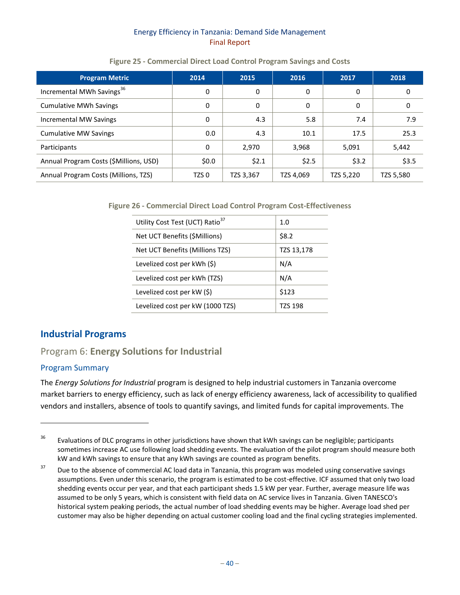#### **Figure 25 - Commercial Direct Load Control Program Savings and Costs**

<span id="page-46-2"></span>

| <b>Program Metric</b>                  | 2014             | 2015      | 2016      | 2017      | 2018      |
|----------------------------------------|------------------|-----------|-----------|-----------|-----------|
| Incremental MWh Savings <sup>36</sup>  | 0                | 0         | 0         | 0         |           |
| <b>Cumulative MWh Savings</b>          | 0                | 0         | 0         | 0         | 0         |
| Incremental MW Savings                 | 0                | 4.3       | 5.8       | 7.4       | 7.9       |
| <b>Cumulative MW Savings</b>           | 0.0              | 4.3       | 10.1      | 17.5      | 25.3      |
| Participants                           | $\Omega$         | 2,970     | 3,968     | 5,091     | 5,442     |
| Annual Program Costs (\$Millions, USD) | \$0.0\$          | \$2.1     | \$2.5     | \$3.2     | \$3.5     |
| Annual Program Costs (Millions, TZS)   | TZS <sub>0</sub> | TZS 3,367 | TZS 4,069 | TZS 5,220 | TZS 5,580 |

<span id="page-46-3"></span>**Figure 26 - Commercial Direct Load Control Program Cost-Effectiveness**

| 1.0        |
|------------|
| \$8.2      |
| TZS 13,178 |
| N/A        |
| N/A        |
| \$123      |
| TZS 198    |
|            |

# <span id="page-46-0"></span>**Industrial Programs**

# <span id="page-46-1"></span>Program 6: **Energy Solutions for Industrial**

# Program Summary

 $\overline{\phantom{a}}$ 

The *Energy Solutions for Industrial* program is designed to help industrial customers in Tanzania overcome market barriers to energy efficiency, such as lack of energy efficiency awareness, lack of accessibility to qualified vendors and installers, absence of tools to quantify savings, and limited funds for capital improvements. The

<sup>&</sup>lt;sup>36</sup> Evaluations of DLC programs in other jurisdictions have shown that kWh savings can be negligible; participants sometimes increase AC use following load shedding events. The evaluation of the pilot program should measure both kW and kWh savings to ensure that any kWh savings are counted as program benefits.

<sup>&</sup>lt;sup>37</sup> Due to the absence of commercial AC load data in Tanzania, this program was modeled using conservative savings assumptions. Even under this scenario, the program is estimated to be cost-effective. ICF assumed that only two load shedding events occur per year, and that each participant sheds 1.5 kW per year. Further, average measure life was assumed to be only 5 years, which is consistent with field data on AC service lives in Tanzania. Given TANESCO's historical system peaking periods, the actual number of load shedding events may be higher. Average load shed per customer may also be higher depending on actual customer cooling load and the final cycling strategies implemented.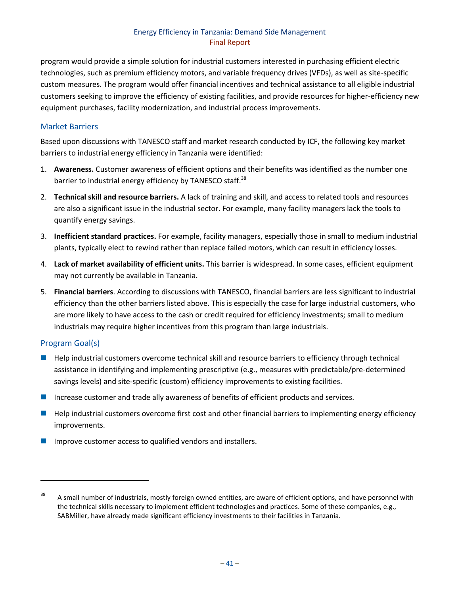program would provide a simple solution for industrial customers interested in purchasing efficient electric technologies, such as premium efficiency motors, and variable frequency drives (VFDs), as well as site-specific custom measures. The program would offer financial incentives and technical assistance to all eligible industrial customers seeking to improve the efficiency of existing facilities, and provide resources for higher-efficiency new equipment purchases, facility modernization, and industrial process improvements.

## Market Barriers

Based upon discussions with TANESCO staff and market research conducted by ICF, the following key market barriers to industrial energy efficiency in Tanzania were identified:

- 1. **Awareness.** Customer awareness of efficient options and their benefits was identified as the number one barrier to industrial energy efficiency by TANESCO staff.<sup>38</sup>
- 2. **Technical skill and resource barriers.** A lack of training and skill, and access to related tools and resources are also a significant issue in the industrial sector. For example, many facility managers lack the tools to quantify energy savings.
- 3. **Inefficient standard practices.** For example, facility managers, especially those in small to medium industrial plants, typically elect to rewind rather than replace failed motors, which can result in efficiency losses.
- 4. **Lack of market availability of efficient units.** This barrier is widespread. In some cases, efficient equipment may not currently be available in Tanzania.
- 5. **Financial barriers**. According to discussions with TANESCO, financial barriers are less significant to industrial efficiency than the other barriers listed above. This is especially the case for large industrial customers, who are more likely to have access to the cash or credit required for efficiency investments; small to medium industrials may require higher incentives from this program than large industrials.

# Program Goal(s)

 $\overline{\phantom{a}}$ 

- Help industrial customers overcome technical skill and resource barriers to efficiency through technical assistance in identifying and implementing prescriptive (e.g., measures with predictable/pre-determined savings levels) and site-specific (custom) efficiency improvements to existing facilities.
- Increase customer and trade ally awareness of benefits of efficient products and services.
- $\blacksquare$  Help industrial customers overcome first cost and other financial barriers to implementing energy efficiency improvements.
- Improve customer access to qualified vendors and installers.

 $38$  A small number of industrials, mostly foreign owned entities, are aware of efficient options, and have personnel with the technical skills necessary to implement efficient technologies and practices. Some of these companies, e.g., SABMiller, have already made significant efficiency investments to their facilities in Tanzania.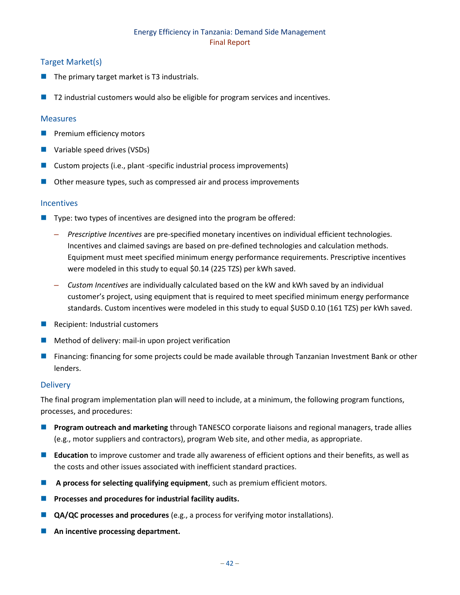## Target Market(s)

- $\blacksquare$  The primary target market is T3 industrials.
- T2 industrial customers would also be eligible for program services and incentives.

#### Measures

- **Premium efficiency motors**
- **Variable speed drives (VSDs)**
- Custom projects (i.e., plant -specific industrial process improvements)
- Other measure types, such as compressed air and process improvements

#### Incentives

- Type: two types of incentives are designed into the program be offered:
	- *Prescriptive Incentives* are pre-specified monetary incentives on individual efficient technologies. Incentives and claimed savings are based on pre-defined technologies and calculation methods. Equipment must meet specified minimum energy performance requirements. Prescriptive incentives were modeled in this study to equal \$0.14 (225 TZS) per kWh saved.
	- *Custom Incentives* are individually calculated based on the kW and kWh saved by an individual customer's project, using equipment that is required to meet specified minimum energy performance standards. Custom incentives were modeled in this study to equal \$USD 0.10 (161 TZS) per kWh saved.
- $\blacksquare$  Recipient: Industrial customers
- $\blacksquare$  Method of delivery: mail-in upon project verification
- **Financing: financing for some projects could be made available through Tanzanian Investment Bank or other** lenders.

#### **Delivery**

The final program implementation plan will need to include, at a minimum, the following program functions, processes, and procedures:

- **Program outreach and marketing** through TANESCO corporate liaisons and regional managers, trade allies (e.g., motor suppliers and contractors), program Web site, and other media, as appropriate.
- **Education** to improve customer and trade ally awareness of efficient options and their benefits, as well as the costs and other issues associated with inefficient standard practices.
- **A process for selecting qualifying equipment**, such as premium efficient motors.
- **Processes and procedures for industrial facility audits.**
- **QA/QC** processes and procedures (e.g., a process for verifying motor installations).
- **An incentive processing department.**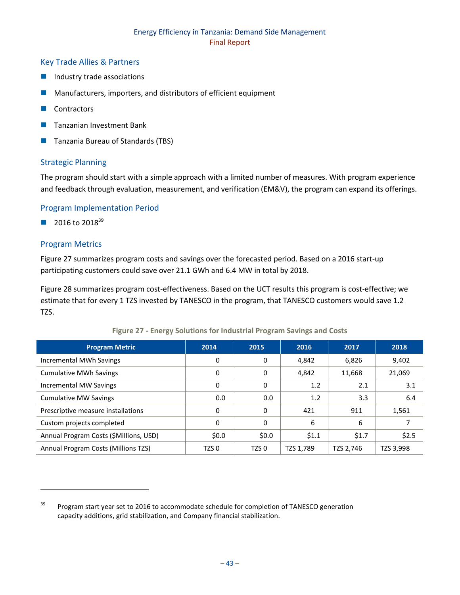### Key Trade Allies & Partners

- **Industry trade associations**
- Manufacturers, importers, and distributors of efficient equipment
- **Contractors**
- Tanzanian Investment Bank
- Tanzania Bureau of Standards (TBS)

#### Strategic Planning

The program should start with a simple approach with a limited number of measures. With program experience and feedback through evaluation, measurement, and verification (EM&V), the program can expand its offerings.

#### Program Implementation Period

 $\Box$  2016 to 2018<sup>39</sup>

#### Program Metrics

 $\overline{\phantom{a}}$ 

[Figure 27](#page-49-0) summarizes program costs and savings over the forecasted period. Based on a 2016 start-up participating customers could save over 21.1 GWh and 6.4 MW in total by 2018.

[Figure 28](#page-50-1) summarizes program cost-effectiveness. Based on the UCT results this program is cost-effective; we estimate that for every 1 TZS invested by TANESCO in the program, that TANESCO customers would save 1.2 TZS.

<span id="page-49-0"></span>

| <b>Program Metric</b>                  | 2014             | 2015             | 2016      | 2017      | 2018      |
|----------------------------------------|------------------|------------------|-----------|-----------|-----------|
| Incremental MWh Savings                | 0                | 0                | 4,842     | 6,826     | 9,402     |
| <b>Cumulative MWh Savings</b>          | 0                | 0                | 4,842     | 11,668    | 21,069    |
| Incremental MW Savings                 | 0                | 0                | 1.2       | 2.1       | 3.1       |
| <b>Cumulative MW Savings</b>           | 0.0              | 0.0              | 1.2       | 3.3       | 6.4       |
| Prescriptive measure installations     | 0                | 0                | 421       | 911       | 1,561     |
| Custom projects completed              | 0                | 0                | 6         | 6         |           |
| Annual Program Costs (\$Millions, USD) | \$0.0\$          | \$0.0\$          | \$1.1     | \$1.7     | \$2.5     |
| Annual Program Costs (Millions TZS)    | TZS <sub>0</sub> | TZS <sub>0</sub> | TZS 1,789 | TZS 2,746 | TZS 3,998 |

#### **Figure 27 - Energy Solutions for Industrial Program Savings and Costs**

<sup>&</sup>lt;sup>39</sup> Program start year set to 2016 to accommodate schedule for completion of TANESCO generation capacity additions, grid stabilization, and Company financial stabilization.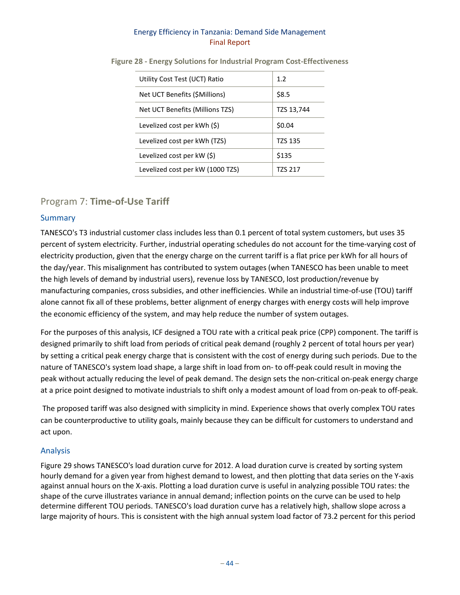| Utility Cost Test (UCT) Ratio    | 1.2            |
|----------------------------------|----------------|
| Net UCT Benefits (\$Millions)    | \$8.5          |
| Net UCT Benefits (Millions TZS)  | TZS 13,744     |
| Levelized cost per kWh (\$)      | \$0.04         |
| Levelized cost per kWh (TZS)     | <b>TZS 135</b> |
| Levelized cost per $kW(\xi)$     | \$135          |
| Levelized cost per kW (1000 TZS) | TZS 217        |

<span id="page-50-1"></span>**Figure 28 - Energy Solutions for Industrial Program Cost-Effectiveness**

# <span id="page-50-0"></span>Program 7: **Time-of-Use Tariff**

## Summary

TANESCO's T3 industrial customer class includes less than 0.1 percent of total system customers, but uses 35 percent of system electricity. Further, industrial operating schedules do not account for the time-varying cost of electricity production, given that the energy charge on the current tariff is a flat price per kWh for all hours of the day/year. This misalignment has contributed to system outages (when TANESCO has been unable to meet the high levels of demand by industrial users), revenue loss by TANESCO, lost production/revenue by manufacturing companies, cross subsidies, and other inefficiencies. While an industrial time-of-use (TOU) tariff alone cannot fix all of these problems, better alignment of energy charges with energy costs will help improve the economic efficiency of the system, and may help reduce the number of system outages.

For the purposes of this analysis, ICF designed a TOU rate with a critical peak price (CPP) component. The tariff is designed primarily to shift load from periods of critical peak demand (roughly 2 percent of total hours per year) by setting a critical peak energy charge that is consistent with the cost of energy during such periods. Due to the nature of TANESCO's system load shape, a large shift in load from on- to off-peak could result in moving the peak without actually reducing the level of peak demand. The design sets the non-critical on-peak energy charge at a price point designed to motivate industrials to shift only a modest amount of load from on-peak to off-peak.

The proposed tariff was also designed with simplicity in mind. Experience shows that overly complex TOU rates can be counterproductive to utility goals, mainly because they can be difficult for customers to understand and act upon.

# Analysis

[Figure 29](#page-52-0) shows TANESCO's load duration curve for 2012. A load duration curve is created by sorting system hourly demand for a given year from highest demand to lowest, and then plotting that data series on the Y-axis against annual hours on the X-axis. Plotting a load duration curve is useful in analyzing possible TOU rates: the shape of the curve illustrates variance in annual demand; inflection points on the curve can be used to help determine different TOU periods. TANESCO's load duration curve has a relatively high, shallow slope across a large majority of hours. This is consistent with the high annual system load factor of 73.2 percent for this period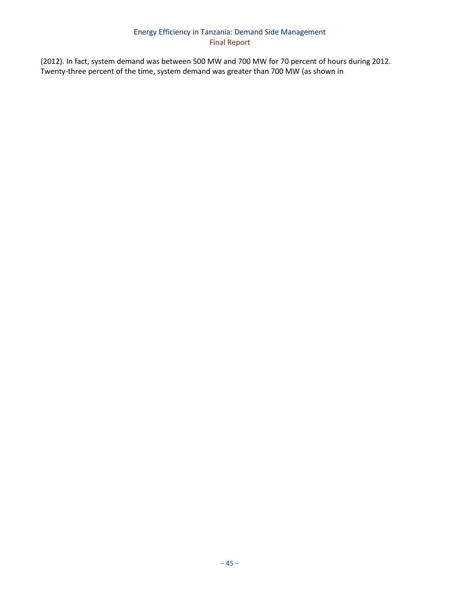(2012). In fact, system demand was between 500 MW and 700 MW for 70 percent of hours during 2012. Twenty-three percent of the time, system demand was greater than 700 MW (as shown in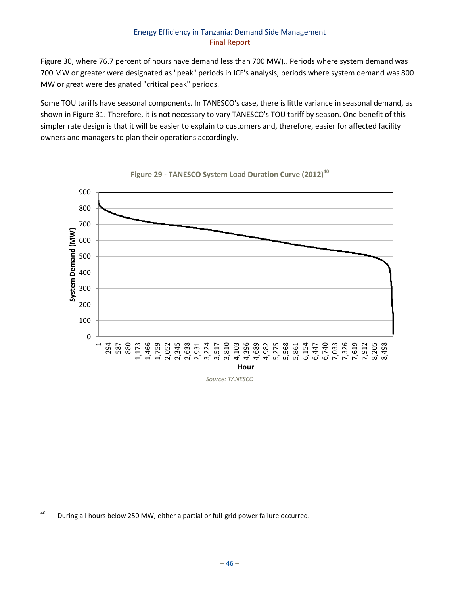[Figure 30,](#page-52-1) where 76.7 percent of hours have demand less than 700 MW).. Periods where system demand was 700 MW or greater were designated as "peak" periods in ICF's analysis; periods where system demand was 800 MW or great were designated "critical peak" periods.

Some TOU tariffs have seasonal components. In TANESCO's case, there is little variance in seasonal demand, as shown in [Figure 31.](#page-53-0) Therefore, it is not necessary to vary TANESCO's TOU tariff by season. One benefit of this simpler rate design is that it will be easier to explain to customers and, therefore, easier for affected facility owners and managers to plan their operations accordingly.

<span id="page-52-0"></span>



<span id="page-52-1"></span>l

<sup>&</sup>lt;sup>40</sup> During all hours below 250 MW, either a partial or full-grid power failure occurred.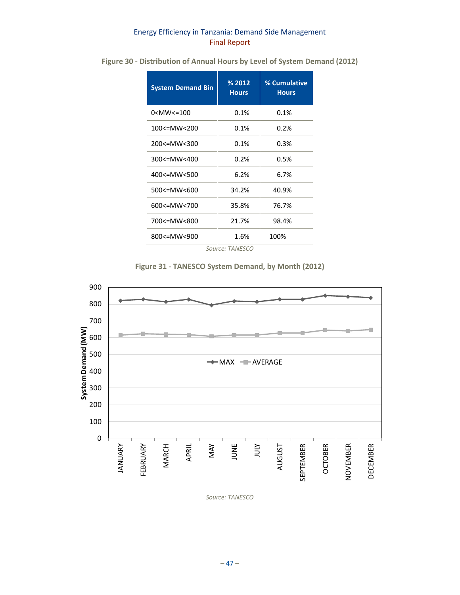| <b>System Demand Bin</b>                                    | % 2012<br><b>Hours</b> | % Cumulative<br><b>Hours</b> |  |  |
|-------------------------------------------------------------|------------------------|------------------------------|--|--|
| 0 <mw<=100< td=""><td>0.1%</td><td>0.1%</td></mw<=100<>     | 0.1%                   | 0.1%                         |  |  |
| $100 \leq MW \leq 200$                                      | 0.1%                   | 0.2%                         |  |  |
| $200 \leq MW \leq 300$                                      | 0.1%                   | 0.3%                         |  |  |
| $300<10$ MW $<$ 400                                         | 0.2%                   | 0.5%                         |  |  |
| $400 \leq MW \leq 500$                                      | 6.2%                   | 6.7%                         |  |  |
| 500 <= MW < 600                                             | 34.2%                  | 40.9%                        |  |  |
| 600 <imw<700< td=""><td>35.8%</td><td>76.7%</td></imw<700<> | 35.8%                  | 76.7%                        |  |  |
| 700<=MW<800                                                 | 21.7%                  | 98.4%                        |  |  |
| 800 <= MW < 900                                             | 1.6%                   | 100%                         |  |  |
|                                                             | Source: TANESCO        |                              |  |  |

**Figure 30 - Distribution of Annual Hours by Level of System Demand (2012)**

| Figure 31 - TANESCO System Demand, by Month (2012) |  |  |  |
|----------------------------------------------------|--|--|--|
|----------------------------------------------------|--|--|--|

<span id="page-53-0"></span>

*Source: TANESCO*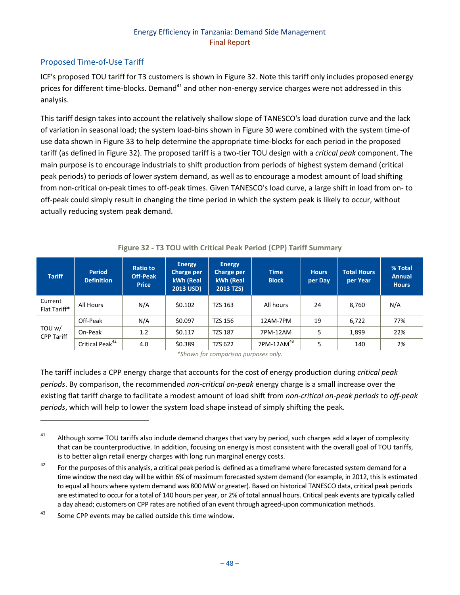# Proposed Time-of-Use Tariff

ICF's proposed TOU tariff for T3 customers is shown in [Figure 32.](#page-54-0) Note this tariff only includes proposed energy prices for different time-blocks. Demand<sup>41</sup> and other non-energy service charges were not addressed in this analysis.

This tariff design takes into account the relatively shallow slope of TANESCO's load duration curve and the lack of variation in seasonal load; the system load-bins shown in Figure 30 were combined with the system time-of use data shown in Figure 33 to help determine the appropriate time-blocks for each period in the proposed tariff (as defined in Figure 32). The proposed tariff is a two-tier TOU design with a *critical peak* component. The main purpose is to encourage industrials to shift production from periods of highest system demand (critical peak periods) to periods of lower system demand, as well as to encourage a modest amount of load shifting from non-critical on-peak times to off-peak times. Given TANESCO's load curve, a large shift in load from on- to off-peak could simply result in changing the time period in which the system peak is likely to occur, without actually reducing system peak demand.

<span id="page-54-0"></span>

| <b>Tariff</b>               | <b>Period</b><br><b>Definition</b> | <b>Ratio to</b><br><b>Off-Peak</b><br><b>Price</b> | <b>Energy</b><br>Charge per<br>kWh (Real<br><b>2013 USD)</b> | <b>Energy</b><br><b>Charge per</b><br>kWh (Real<br>2013 TZS) | <b>Time</b><br><b>Block</b> | <b>Hours</b><br>per Day | <b>Total Hours</b><br>per Year | % Total<br><b>Annual</b><br><b>Hours</b> |
|-----------------------------|------------------------------------|----------------------------------------------------|--------------------------------------------------------------|--------------------------------------------------------------|-----------------------------|-------------------------|--------------------------------|------------------------------------------|
| Current<br>Flat Tariff*     | All Hours                          | N/A                                                | \$0.102                                                      | <b>TZS 163</b>                                               | All hours                   | 24                      | 8,760                          | N/A                                      |
|                             | Off-Peak                           | N/A                                                | \$0.097                                                      | TZS 156                                                      | 12AM-7PM                    | 19                      | 6,722                          | 77%                                      |
| TOU w/<br><b>CPP Tariff</b> | On-Peak                            | 1.2                                                | \$0.117                                                      | <b>TZS 187</b>                                               | 7PM-12AM                    | 5                       | 1,899                          | 22%                                      |
|                             | Critical Peak <sup>42</sup>        | 4.0                                                | \$0.389                                                      | <b>TZS 622</b>                                               | $7$ PM-12AM $^{43}$         | 5                       | 140                            | 2%                                       |

#### **Figure 32 - T3 TOU with Critical Peak Period (CPP) Tariff Summary**

*\*Shown for comparison purposes only.*

The tariff includes a CPP energy charge that accounts for the cost of energy production during *critical peak periods*. By comparison, the recommended *non-critical on-peak* energy charge is a small increase over the existing flat tariff charge to facilitate a modest amount of load shift from *non-critical on-peak periods* to *off-peak periods*, which will help to lower the system load shape instead of simply shifting the peak.

 $43$  Some CPP events may be called outside this time window.

 $\overline{\phantom{a}}$ 

<sup>&</sup>lt;sup>41</sup> Although some TOU tariffs also include demand charges that vary by period, such charges add a layer of complexity that can be counterproductive. In addition, focusing on energy is most consistent with the overall goal of TOU tariffs, is to better align retail energy charges with long run marginal energy costs.

 $42$  For the purposes of this analysis, a critical peak period is defined as a timeframe where forecasted system demand for a time window the next day will be within 6% of maximum forecasted system demand (for example, in 2012, this is estimated to equal all hours where system demand was 800 MW or greater). Based on historical TANESCO data, critical peak periods are estimated to occur for a total of 140 hours per year, or 2% of total annual hours. Critical peak events are typically called a day ahead; customers on CPP rates are notified of an event through agreed-upon communication methods.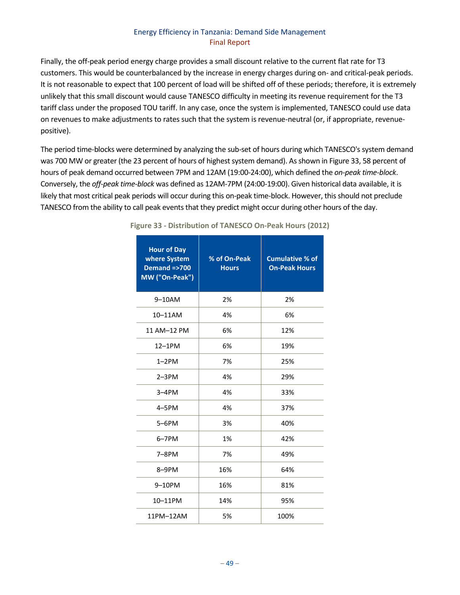Finally, the off-peak period energy charge provides a small discount relative to the current flat rate for T3 customers. This would be counterbalanced by the increase in energy charges during on- and critical-peak periods. It is not reasonable to expect that 100 percent of load will be shifted off of these periods; therefore, it is extremely unlikely that this small discount would cause TANESCO difficulty in meeting its revenue requirement for the T3 tariff class under the proposed TOU tariff. In any case, once the system is implemented, TANESCO could use data on revenues to make adjustments to rates such that the system is revenue-neutral (or, if appropriate, revenuepositive).

<span id="page-55-0"></span>The period time-blocks were determined by analyzing the sub-set of hours during which TANESCO's system demand was 700 MW or greater (the 23 percent of hours of highest system demand). As shown i[n Figure 33,](#page-55-0) 58 percent of hours of peak demand occurred between 7PM and 12AM (19:00-24:00), which defined the *on-peak time-block*. Conversely, the *off-peak time-block* was defined as 12AM-7PM (24:00-19:00). Given historical data available, it is likely that most critical peak periods will occur during this on-peak time-block. However, this should not preclude TANESCO from the ability to call peak events that they predict might occur during other hours of the day.

| <b>Hour of Day</b><br>where System<br><b>Demand =&gt;700</b><br>MW ("On-Peak") | % of On-Peak<br><b>Hours</b> | <b>Cumulative % of</b><br><b>On-Peak Hours</b> |
|--------------------------------------------------------------------------------|------------------------------|------------------------------------------------|
| $9-10$ AM                                                                      | 2%                           | 2%                                             |
| 10-11AM                                                                        | 4%                           | 6%                                             |
| 11 AM-12 PM                                                                    | 6%                           | 12%                                            |
| 12-1PM                                                                         | 6%                           | 19%                                            |
| $1-2PM$                                                                        | 7%                           | 25%                                            |
| $2-3PM$                                                                        | 4%                           | 29%                                            |
| $3-4PM$                                                                        | 4%                           | 33%                                            |
| $4-5PM$                                                                        | 4%                           | 37%                                            |
| $5-6$ PM                                                                       | 3%                           | 40%                                            |
| $6 - 7$ PM                                                                     | 1%                           | 42%                                            |
| $7-8PM$                                                                        | 7%                           | 49%                                            |
| 8-9PM                                                                          | 16%                          | 64%                                            |
| 9-10PM                                                                         | 16%                          | 81%                                            |
| 10-11PM                                                                        | 14%                          | 95%                                            |
| 11PM-12AM                                                                      | 5%                           | 100%                                           |

**Figure 33 - Distribution of TANESCO On-Peak Hours (2012)**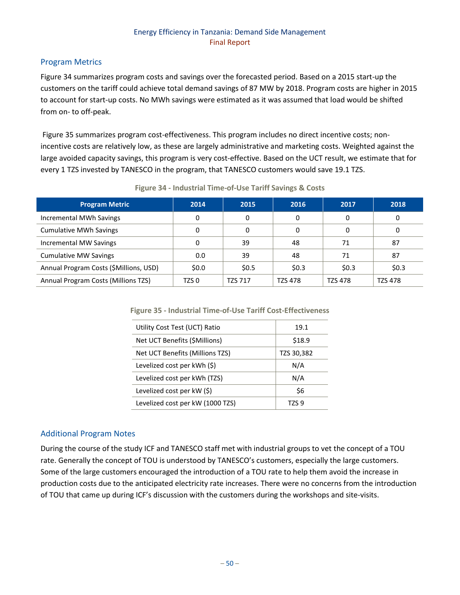## Program Metrics

[Figure 34](#page-56-0) summarizes program costs and savings over the forecasted period. Based on a 2015 start-up the customers on the tariff could achieve total demand savings of 87 MW by 2018. Program costs are higher in 2015 to account for start-up costs. No MWh savings were estimated as it was assumed that load would be shifted from on- to off-peak.

[Figure 35](#page-56-1) summarizes program cost-effectiveness. This program includes no direct incentive costs; nonincentive costs are relatively low, as these are largely administrative and marketing costs. Weighted against the large avoided capacity savings, this program is very cost-effective. Based on the UCT result, we estimate that for every 1 TZS invested by TANESCO in the program, that TANESCO customers would save 19.1 TZS.

<span id="page-56-0"></span>

| <b>Program Metric</b>                  | 2014    | 2015    | 2016           | 2017           | 2018           |
|----------------------------------------|---------|---------|----------------|----------------|----------------|
| Incremental MWh Savings                | 0       | 0       | 0              | 0              | 0              |
| <b>Cumulative MWh Savings</b>          |         | 0       | 0              | 0              | 0              |
| Incremental MW Savings                 |         | 39      | 48             | 71             | 87             |
| <b>Cumulative MW Savings</b>           | 0.0     | 39      | 48             | 71             | 87             |
| Annual Program Costs (\$Millions, USD) | \$0.0\$ | \$0.5   | \$0.3          | \$0.3          | \$0.3          |
| Annual Program Costs (Millions TZS)    | TZS 0   | TZS 717 | <b>TZS 478</b> | <b>TZS 478</b> | <b>TZS 478</b> |

#### **Figure 34 - Industrial Time-of-Use Tariff Savings & Costs**

<span id="page-56-1"></span>**Figure 35 - Industrial Time-of-Use Tariff Cost-Effectiveness**

| Utility Cost Test (UCT) Ratio    | 19.1       |  |
|----------------------------------|------------|--|
| Net UCT Benefits (\$Millions)    | \$18.9     |  |
| Net UCT Benefits (Millions TZS)  | TZS 30,382 |  |
| Levelized cost per kWh (\$)      | N/A        |  |
| Levelized cost per kWh (TZS)     | N/A        |  |
| Levelized cost per kW (\$)       | \$6        |  |
| Levelized cost per kW (1000 TZS) | T7S 9      |  |

#### Additional Program Notes

During the course of the study ICF and TANESCO staff met with industrial groups to vet the concept of a TOU rate. Generally the concept of TOU is understood by TANESCO's customers, especially the large customers. Some of the large customers encouraged the introduction of a TOU rate to help them avoid the increase in production costs due to the anticipated electricity rate increases. There were no concerns from the introduction of TOU that came up during ICF's discussion with the customers during the workshops and site-visits.